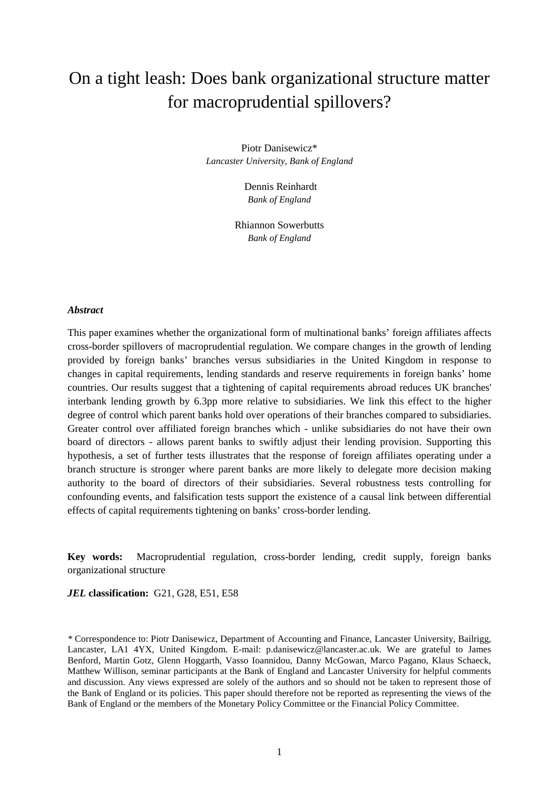# On a tight leash: Does bank organizational structure matter for macroprudential spillovers?

Piotr Danisewicz\* *Lancaster University, Bank of England*

> Dennis Reinhardt *Bank of England*

Rhiannon Sowerbutts *Bank of England*

#### *Abstract*

This paper examines whether the organizational form of multinational banks' foreign affiliates affects cross-border spillovers of macroprudential regulation. We compare changes in the growth of lending provided by foreign banks' branches versus subsidiaries in the United Kingdom in response to changes in capital requirements, lending standards and reserve requirements in foreign banks' home countries. Our results suggest that a tightening of capital requirements abroad reduces UK branches' interbank lending growth by 6.3pp more relative to subsidiaries. We link this effect to the higher degree of control which parent banks hold over operations of their branches compared to subsidiaries. Greater control over affiliated foreign branches which - unlike subsidiaries do not have their own board of directors - allows parent banks to swiftly adjust their lending provision. Supporting this hypothesis, a set of further tests illustrates that the response of foreign affiliates operating under a branch structure is stronger where parent banks are more likely to delegate more decision making authority to the board of directors of their subsidiaries. Several robustness tests controlling for confounding events, and falsification tests support the existence of a causal link between differential effects of capital requirements tightening on banks' cross-border lending.

**Key words:** Macroprudential regulation, cross-border lending, credit supply, foreign banks organizational structure

*JEL* **classification:** G21, G28, E51, E58

*\** Correspondence to: Piotr Danisewicz, Department of Accounting and Finance, Lancaster University, Bailrigg, Lancaster, LA1 4YX, United Kingdom. E-mail: p.danisewicz@lancaster.ac.uk. We are grateful to James Benford, Martin Gotz, Glenn Hoggarth, Vasso Ioannidou, Danny McGowan, Marco Pagano, Klaus Schaeck, Matthew Willison, seminar participants at the Bank of England and Lancaster University for helpful comments and discussion. Any views expressed are solely of the authors and so should not be taken to represent those of the Bank of England or its policies. This paper should therefore not be reported as representing the views of the Bank of England or the members of the Monetary Policy Committee or the Financial Policy Committee.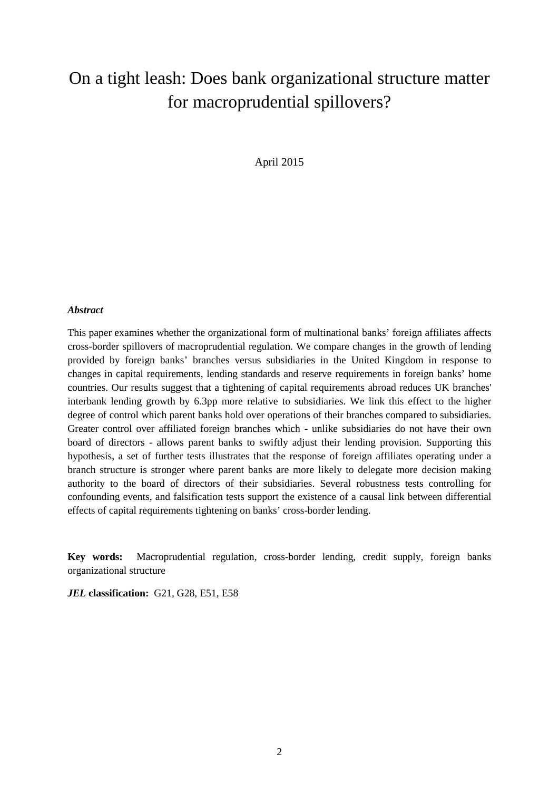# On a tight leash: Does bank organizational structure matter for macroprudential spillovers?

April 2015

#### *Abstract*

This paper examines whether the organizational form of multinational banks' foreign affiliates affects cross-border spillovers of macroprudential regulation. We compare changes in the growth of lending provided by foreign banks' branches versus subsidiaries in the United Kingdom in response to changes in capital requirements, lending standards and reserve requirements in foreign banks' home countries. Our results suggest that a tightening of capital requirements abroad reduces UK branches' interbank lending growth by 6.3pp more relative to subsidiaries. We link this effect to the higher degree of control which parent banks hold over operations of their branches compared to subsidiaries. Greater control over affiliated foreign branches which - unlike subsidiaries do not have their own board of directors - allows parent banks to swiftly adjust their lending provision. Supporting this hypothesis, a set of further tests illustrates that the response of foreign affiliates operating under a branch structure is stronger where parent banks are more likely to delegate more decision making authority to the board of directors of their subsidiaries. Several robustness tests controlling for confounding events, and falsification tests support the existence of a causal link between differential effects of capital requirements tightening on banks' cross-border lending.

**Key words:** Macroprudential regulation, cross-border lending, credit supply, foreign banks organizational structure

*JEL* **classification:** G21, G28, E51, E58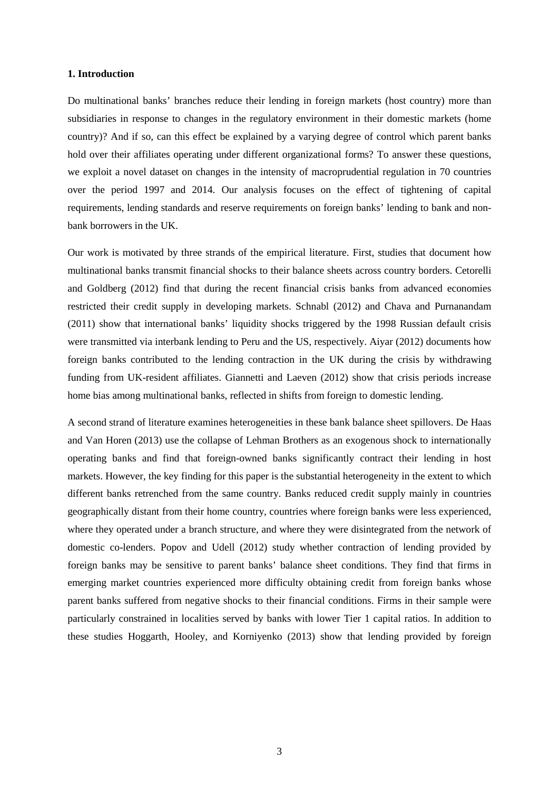#### **1. Introduction**

Do multinational banks' branches reduce their lending in foreign markets (host country) more than subsidiaries in response to changes in the regulatory environment in their domestic markets (home country)? And if so, can this effect be explained by a varying degree of control which parent banks hold over their affiliates operating under different organizational forms? To answer these questions, we exploit a novel dataset on changes in the intensity of macroprudential regulation in 70 countries over the period 1997 and 2014. Our analysis focuses on the effect of tightening of capital requirements, lending standards and reserve requirements on foreign banks' lending to bank and nonbank borrowers in the UK.

Our work is motivated by three strands of the empirical literature. First, studies that document how multinational banks transmit financial shocks to their balance sheets across country borders. Cetorelli and Goldberg (2012) find that during the recent financial crisis banks from advanced economies restricted their credit supply in developing markets. Schnabl (2012) and Chava and Purnanandam (2011) show that international banks' liquidity shocks triggered by the 1998 Russian default crisis were transmitted via interbank lending to Peru and the US, respectively. Aiyar (2012) documents how foreign banks contributed to the lending contraction in the UK during the crisis by withdrawing funding from UK-resident affiliates. Giannetti and Laeven (2012) show that crisis periods increase home bias among multinational banks, reflected in shifts from foreign to domestic lending.

A second strand of literature examines heterogeneities in these bank balance sheet spillovers. De Haas and Van Horen (2013) use the collapse of Lehman Brothers as an exogenous shock to internationally operating banks and find that foreign-owned banks significantly contract their lending in host markets. However, the key finding for this paper is the substantial heterogeneity in the extent to which different banks retrenched from the same country. Banks reduced credit supply mainly in countries geographically distant from their home country, countries where foreign banks were less experienced, where they operated under a branch structure, and where they were disintegrated from the network of domestic co-lenders. Popov and Udell (2012) study whether contraction of lending provided by foreign banks may be sensitive to parent banks' balance sheet conditions. They find that firms in emerging market countries experienced more difficulty obtaining credit from foreign banks whose parent banks suffered from negative shocks to their financial conditions. Firms in their sample were particularly constrained in localities served by banks with lower Tier 1 capital ratios. In addition to these studies Hoggarth, Hooley, and Korniyenko (2013) show that lending provided by foreign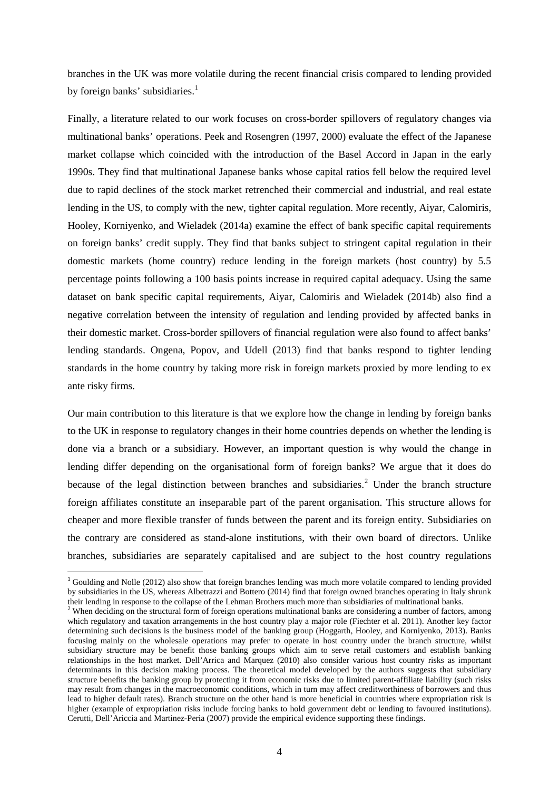branches in the UK was more volatile during the recent financial crisis compared to lending provided by foreign banks' subsidiaries. $<sup>1</sup>$  $<sup>1</sup>$  $<sup>1</sup>$ </sup>

Finally, a literature related to our work focuses on cross-border spillovers of regulatory changes via multinational banks' operations. Peek and Rosengren (1997, 2000) evaluate the effect of the Japanese market collapse which coincided with the introduction of the Basel Accord in Japan in the early 1990s. They find that multinational Japanese banks whose capital ratios fell below the required level due to rapid declines of the stock market retrenched their commercial and industrial, and real estate lending in the US, to comply with the new, tighter capital regulation. More recently, Aiyar, Calomiris, Hooley, Korniyenko, and Wieladek (2014a) examine the effect of bank specific capital requirements on foreign banks' credit supply. They find that banks subject to stringent capital regulation in their domestic markets (home country) reduce lending in the foreign markets (host country) by 5.5 percentage points following a 100 basis points increase in required capital adequacy. Using the same dataset on bank specific capital requirements, Aiyar, Calomiris and Wieladek (2014b) also find a negative correlation between the intensity of regulation and lending provided by affected banks in their domestic market. Cross-border spillovers of financial regulation were also found to affect banks' lending standards. Ongena, Popov, and Udell (2013) find that banks respond to tighter lending standards in the home country by taking more risk in foreign markets proxied by more lending to ex ante risky firms.

Our main contribution to this literature is that we explore how the change in lending by foreign banks to the UK in response to regulatory changes in their home countries depends on whether the lending is done via a branch or a subsidiary. However, an important question is why would the change in lending differ depending on the organisational form of foreign banks? We argue that it does do because of the legal distinction between branches and subsidiaries.<sup>[2](#page-3-1)</sup> Under the branch structure foreign affiliates constitute an inseparable part of the parent organisation. This structure allows for cheaper and more flexible transfer of funds between the parent and its foreign entity. Subsidiaries on the contrary are considered as stand-alone institutions, with their own board of directors. Unlike branches, subsidiaries are separately capitalised and are subject to the host country regulations

**.** 

<span id="page-3-0"></span><sup>&</sup>lt;sup>1</sup> Goulding and Nolle (2012) also show that foreign branches lending was much more volatile compared to lending provided by subsidiaries in the US, whereas Albetrazzi and Bottero (2014) find that foreign owned branches operating in Italy shrunk their lending in response to the collapse of the Lehman Brothers much more than subsidiaries of multinational banks.

<span id="page-3-1"></span><sup>&</sup>lt;sup>2</sup> When deciding on the structural form of foreign operations multinational banks are considering a number of factors, among which regulatory and taxation arrangements in the host country play a major role (Fiechter et al. 2011). Another key factor determining such decisions is the business model of the banking group (Hoggarth, Hooley, and Korniyenko, 2013). Banks focusing mainly on the wholesale operations may prefer to operate in host country under the branch structure, whilst subsidiary structure may be benefit those banking groups which aim to serve retail customers and establish banking relationships in the host market. Dell'Arrica and Marquez (2010) also consider various host country risks as important determinants in this decision making process. The theoretical model developed by the authors suggests that subsidiary structure benefits the banking group by protecting it from economic risks due to limited parent-affiliate liability (such risks may result from changes in the macroeconomic conditions, which in turn may affect creditworthiness of borrowers and thus lead to higher default rates). Branch structure on the other hand is more beneficial in countries where expropriation risk is higher (example of expropriation risks include forcing banks to hold government debt or lending to favoured institutions). Cerutti, Dell'Ariccia and Martinez-Peria (2007) provide the empirical evidence supporting these findings.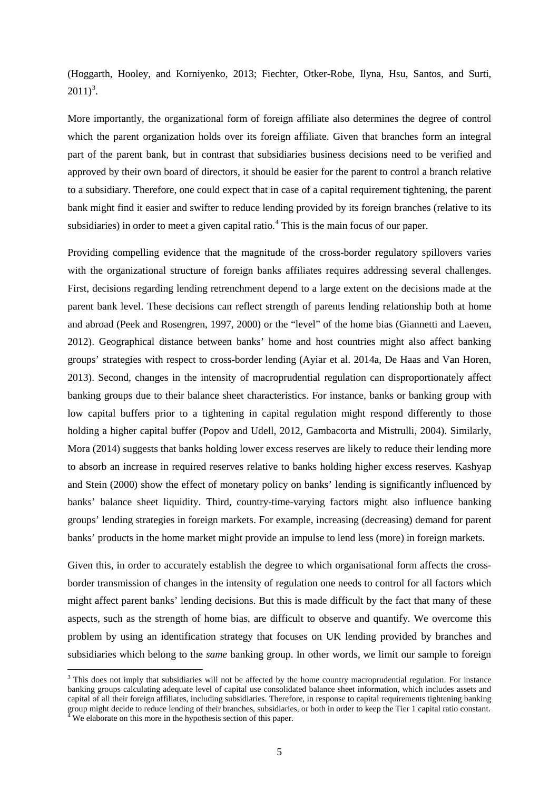(Hoggarth, Hooley, and Korniyenko, 2013; Fiechter, Otker-Robe, Ilyna, Hsu, Santos, and Surti,  $2011)^3$  $2011)^3$ .

More importantly, the organizational form of foreign affiliate also determines the degree of control which the parent organization holds over its foreign affiliate. Given that branches form an integral part of the parent bank, but in contrast that subsidiaries business decisions need to be verified and approved by their own board of directors, it should be easier for the parent to control a branch relative to a subsidiary. Therefore, one could expect that in case of a capital requirement tightening, the parent bank might find it easier and swifter to reduce lending provided by its foreign branches (relative to its subsidiaries) in order to meet a given capital ratio.<sup>[4](#page-4-1)</sup> This is the main focus of our paper.

Providing compelling evidence that the magnitude of the cross-border regulatory spillovers varies with the organizational structure of foreign banks affiliates requires addressing several challenges. First, decisions regarding lending retrenchment depend to a large extent on the decisions made at the parent bank level. These decisions can reflect strength of parents lending relationship both at home and abroad (Peek and Rosengren, 1997, 2000) or the "level" of the home bias (Giannetti and Laeven, 2012). Geographical distance between banks' home and host countries might also affect banking groups' strategies with respect to cross-border lending (Ayiar et al. 2014a, De Haas and Van Horen, 2013). Second, changes in the intensity of macroprudential regulation can disproportionately affect banking groups due to their balance sheet characteristics. For instance, banks or banking group with low capital buffers prior to a tightening in capital regulation might respond differently to those holding a higher capital buffer (Popov and Udell, 2012, Gambacorta and Mistrulli, 2004). Similarly, Mora (2014) suggests that banks holding lower excess reserves are likely to reduce their lending more to absorb an increase in required reserves relative to banks holding higher excess reserves. Kashyap and Stein (2000) show the effect of monetary policy on banks' lending is significantly influenced by banks' balance sheet liquidity. Third, country-time-varying factors might also influence banking groups' lending strategies in foreign markets. For example, increasing (decreasing) demand for parent banks' products in the home market might provide an impulse to lend less (more) in foreign markets.

Given this, in order to accurately establish the degree to which organisational form affects the crossborder transmission of changes in the intensity of regulation one needs to control for all factors which might affect parent banks' lending decisions. But this is made difficult by the fact that many of these aspects, such as the strength of home bias, are difficult to observe and quantify. We overcome this problem by using an identification strategy that focuses on UK lending provided by branches and subsidiaries which belong to the *same* banking group. In other words, we limit our sample to foreign

**.** 

<span id="page-4-1"></span><span id="page-4-0"></span><sup>&</sup>lt;sup>3</sup> This does not imply that subsidiaries will not be affected by the home country macroprudential regulation. For instance banking groups calculating adequate level of capital use consolidated balance sheet information, which includes assets and capital of all their foreign affiliates, including subsidiaries. Therefore, in response to capital requirements tightening banking group might decide to reduce lending of their branches, subsidiaries, or both in order to keep the Tier 1 capital ratio constant. <sup>4</sup> We elaborate on this more in the hypothesis section of this paper.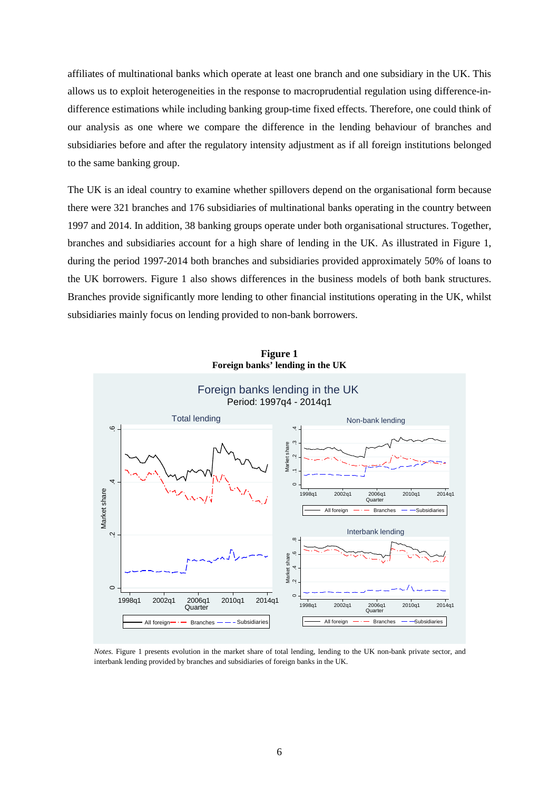affiliates of multinational banks which operate at least one branch and one subsidiary in the UK. This allows us to exploit heterogeneities in the response to macroprudential regulation using difference-indifference estimations while including banking group-time fixed effects. Therefore, one could think of our analysis as one where we compare the difference in the lending behaviour of branches and subsidiaries before and after the regulatory intensity adjustment as if all foreign institutions belonged to the same banking group.

The UK is an ideal country to examine whether spillovers depend on the organisational form because there were 321 branches and 176 subsidiaries of multinational banks operating in the country between 1997 and 2014. In addition, 38 banking groups operate under both organisational structures. Together, branches and subsidiaries account for a high share of lending in the UK. As illustrated in Figure 1, during the period 1997-2014 both branches and subsidiaries provided approximately 50% of loans to the UK borrowers. Figure 1 also shows differences in the business models of both bank structures. Branches provide significantly more lending to other financial institutions operating in the UK, whilst subsidiaries mainly focus on lending provided to non-bank borrowers.



**Figure 1 Foreign banks' lending in the UK**

*Notes.* Figure 1 presents evolution in the market share of total lending, lending to the UK non-bank private sector, and interbank lending provided by branches and subsidiaries of foreign banks in the UK.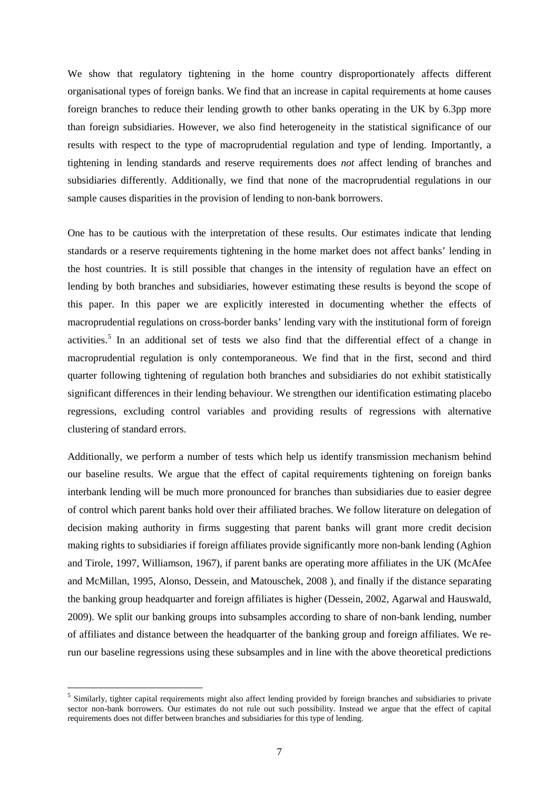We show that regulatory tightening in the home country disproportionately affects different organisational types of foreign banks. We find that an increase in capital requirements at home causes foreign branches to reduce their lending growth to other banks operating in the UK by 6.3pp more than foreign subsidiaries. However, we also find heterogeneity in the statistical significance of our results with respect to the type of macroprudential regulation and type of lending. Importantly, a tightening in lending standards and reserve requirements does *not* affect lending of branches and subsidiaries differently. Additionally, we find that none of the macroprudential regulations in our sample causes disparities in the provision of lending to non-bank borrowers.

One has to be cautious with the interpretation of these results. Our estimates indicate that lending standards or a reserve requirements tightening in the home market does not affect banks' lending in the host countries. It is still possible that changes in the intensity of regulation have an effect on lending by both branches and subsidiaries, however estimating these results is beyond the scope of this paper. In this paper we are explicitly interested in documenting whether the effects of macroprudential regulations on cross-border banks' lending vary with the institutional form of foreign activities.<sup>[5](#page-6-0)</sup> In an additional set of tests we also find that the differential effect of a change in macroprudential regulation is only contemporaneous. We find that in the first, second and third quarter following tightening of regulation both branches and subsidiaries do not exhibit statistically significant differences in their lending behaviour. We strengthen our identification estimating placebo regressions, excluding control variables and providing results of regressions with alternative clustering of standard errors.

Additionally, we perform a number of tests which help us identify transmission mechanism behind our baseline results. We argue that the effect of capital requirements tightening on foreign banks interbank lending will be much more pronounced for branches than subsidiaries due to easier degree of control which parent banks hold over their affiliated braches. We follow literature on delegation of decision making authority in firms suggesting that parent banks will grant more credit decision making rights to subsidiaries if foreign affiliates provide significantly more non-bank lending (Aghion and Tirole, 1997, Williamson, 1967), if parent banks are operating more affiliates in the UK (McAfee and McMillan, 1995, Alonso, Dessein, and Matouschek, 2008 ), and finally if the distance separating the banking group headquarter and foreign affiliates is higher (Dessein, 2002, Agarwal and Hauswald, 2009). We split our banking groups into subsamples according to share of non-bank lending, number of affiliates and distance between the headquarter of the banking group and foreign affiliates. We rerun our baseline regressions using these subsamples and in line with the above theoretical predictions

**.** 

<span id="page-6-0"></span><sup>&</sup>lt;sup>5</sup> Similarly, tighter capital requirements might also affect lending provided by foreign branches and subsidiaries to private sector non-bank borrowers. Our estimates do not rule out such possibility. Instead we argue that the effect of capital requirements does not differ between branches and subsidiaries for this type of lending.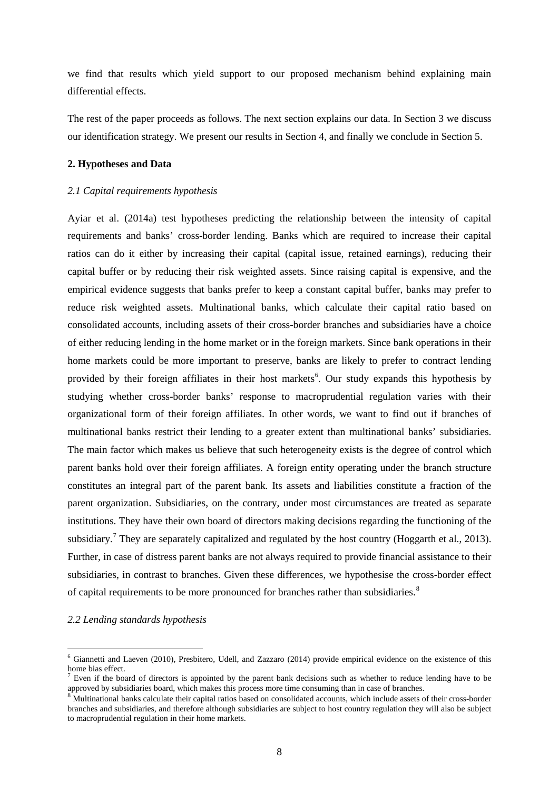we find that results which yield support to our proposed mechanism behind explaining main differential effects.

The rest of the paper proceeds as follows. The next section explains our data. In Section 3 we discuss our identification strategy. We present our results in Section 4, and finally we conclude in Section 5.

#### **2. Hypotheses and Data**

#### *2.1 Capital requirements hypothesis*

Ayiar et al. (2014a) test hypotheses predicting the relationship between the intensity of capital requirements and banks' cross-border lending. Banks which are required to increase their capital ratios can do it either by increasing their capital (capital issue, retained earnings), reducing their capital buffer or by reducing their risk weighted assets. Since raising capital is expensive, and the empirical evidence suggests that banks prefer to keep a constant capital buffer, banks may prefer to reduce risk weighted assets. Multinational banks, which calculate their capital ratio based on consolidated accounts, including assets of their cross-border branches and subsidiaries have a choice of either reducing lending in the home market or in the foreign markets. Since bank operations in their home markets could be more important to preserve, banks are likely to prefer to contract lending provided by their foreign affiliates in their host markets<sup>[6](#page-7-0)</sup>. Our study expands this hypothesis by studying whether cross-border banks' response to macroprudential regulation varies with their organizational form of their foreign affiliates. In other words, we want to find out if branches of multinational banks restrict their lending to a greater extent than multinational banks' subsidiaries. The main factor which makes us believe that such heterogeneity exists is the degree of control which parent banks hold over their foreign affiliates. A foreign entity operating under the branch structure constitutes an integral part of the parent bank. Its assets and liabilities constitute a fraction of the parent organization. Subsidiaries, on the contrary, under most circumstances are treated as separate institutions. They have their own board of directors making decisions regarding the functioning of the subsidiary.<sup>[7](#page-7-1)</sup> They are separately capitalized and regulated by the host country (Hoggarth et al., 2013). Further, in case of distress parent banks are not always required to provide financial assistance to their subsidiaries, in contrast to branches. Given these differences, we hypothesise the cross-border effect of capital requirements to be more pronounced for branches rather than subsidiaries.<sup>[8](#page-7-2)</sup>

#### *2.2 Lending standards hypothesis*

**.** 

<span id="page-7-0"></span><sup>6</sup> Giannetti and Laeven (2010), Presbitero, Udell, and Zazzaro (2014) provide empirical evidence on the existence of this home bias effect.

<span id="page-7-1"></span> $<sup>7</sup>$  Even if the board of directors is appointed by the parent bank decisions such as whether to reduce lending have to be approved by subsidiaries board, which makes this process more time consuming than in case of </sup>

<span id="page-7-2"></span><sup>&</sup>lt;sup>8</sup>Multinational banks calculate their capital ratios based on consolidated accounts, which include assets of their cross-border branches and subsidiaries, and therefore although subsidiaries are subject to host country regulation they will also be subject to macroprudential regulation in their home markets.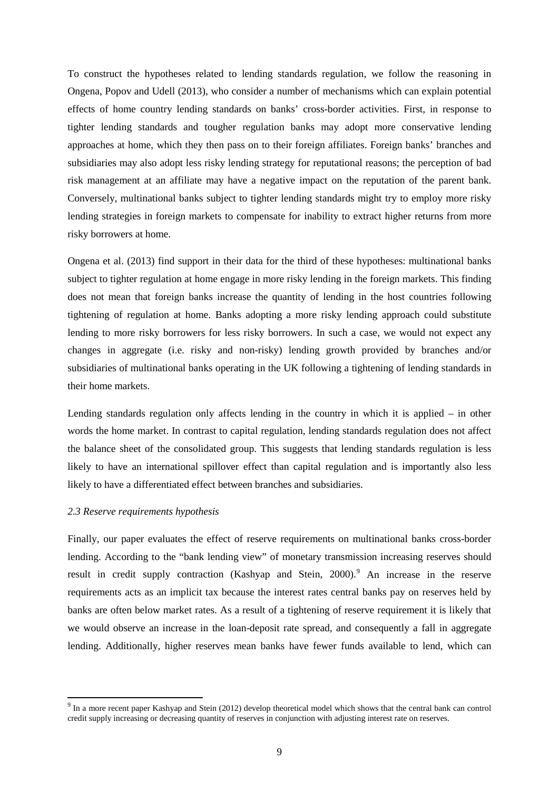To construct the hypotheses related to lending standards regulation, we follow the reasoning in Ongena, Popov and Udell (2013), who consider a number of mechanisms which can explain potential effects of home country lending standards on banks' cross-border activities. First, in response to tighter lending standards and tougher regulation banks may adopt more conservative lending approaches at home, which they then pass on to their foreign affiliates. Foreign banks' branches and subsidiaries may also adopt less risky lending strategy for reputational reasons; the perception of bad risk management at an affiliate may have a negative impact on the reputation of the parent bank. Conversely, multinational banks subject to tighter lending standards might try to employ more risky lending strategies in foreign markets to compensate for inability to extract higher returns from more risky borrowers at home.

Ongena et al. (2013) find support in their data for the third of these hypotheses: multinational banks subject to tighter regulation at home engage in more risky lending in the foreign markets. This finding does not mean that foreign banks increase the quantity of lending in the host countries following tightening of regulation at home. Banks adopting a more risky lending approach could substitute lending to more risky borrowers for less risky borrowers. In such a case, we would not expect any changes in aggregate (i.e. risky and non-risky) lending growth provided by branches and/or subsidiaries of multinational banks operating in the UK following a tightening of lending standards in their home markets.

Lending standards regulation only affects lending in the country in which it is applied – in other words the home market. In contrast to capital regulation, lending standards regulation does not affect the balance sheet of the consolidated group. This suggests that lending standards regulation is less likely to have an international spillover effect than capital regulation and is importantly also less likely to have a differentiated effect between branches and subsidiaries.

#### *2.3 Reserve requirements hypothesis*

**.** 

Finally, our paper evaluates the effect of reserve requirements on multinational banks cross-border lending. According to the "bank lending view" of monetary transmission increasing reserves should result in credit supply contraction (Kashyap and Stein, 2000).<sup>[9](#page-8-0)</sup> An increase in the reserve requirements acts as an implicit tax because the interest rates central banks pay on reserves held by banks are often below market rates. As a result of a tightening of reserve requirement it is likely that we would observe an increase in the loan-deposit rate spread, and consequently a fall in aggregate lending. Additionally, higher reserves mean banks have fewer funds available to lend, which can

<span id="page-8-0"></span><sup>&</sup>lt;sup>9</sup> In a more recent paper Kashyap and Stein (2012) develop theoretical model which shows that the central bank can control credit supply increasing or decreasing quantity of reserves in conjunction with adjusting interest rate on reserves.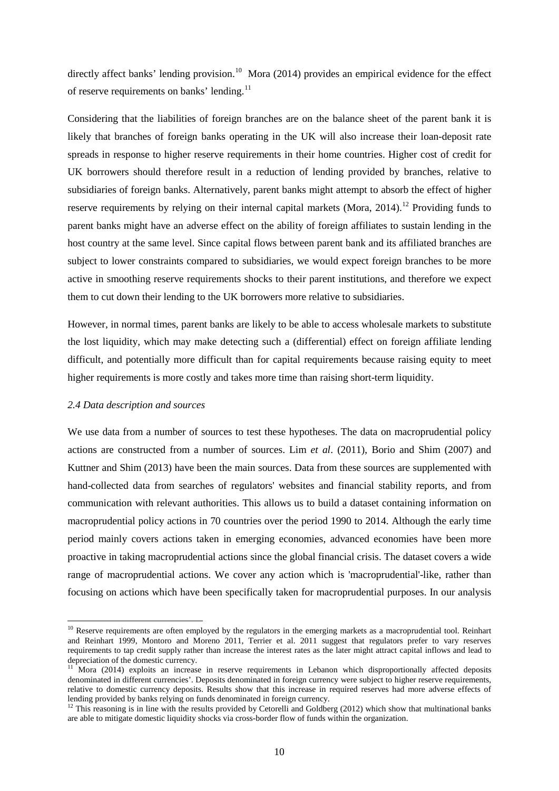directly affect banks' lending provision.<sup>10</sup> Mora (2014) provides an empirical evidence for the effect of reserve requirements on banks' lending.<sup>[11](#page-9-1)</sup>

Considering that the liabilities of foreign branches are on the balance sheet of the parent bank it is likely that branches of foreign banks operating in the UK will also increase their loan-deposit rate spreads in response to higher reserve requirements in their home countries. Higher cost of credit for UK borrowers should therefore result in a reduction of lending provided by branches, relative to subsidiaries of foreign banks. Alternatively, parent banks might attempt to absorb the effect of higher reserve requirements by relying on their internal capital markets (Mora,  $2014$ ).<sup>[12](#page-9-2)</sup> Providing funds to parent banks might have an adverse effect on the ability of foreign affiliates to sustain lending in the host country at the same level. Since capital flows between parent bank and its affiliated branches are subject to lower constraints compared to subsidiaries, we would expect foreign branches to be more active in smoothing reserve requirements shocks to their parent institutions, and therefore we expect them to cut down their lending to the UK borrowers more relative to subsidiaries.

However, in normal times, parent banks are likely to be able to access wholesale markets to substitute the lost liquidity, which may make detecting such a (differential) effect on foreign affiliate lending difficult, and potentially more difficult than for capital requirements because raising equity to meet higher requirements is more costly and takes more time than raising short-term liquidity.

#### *2.4 Data description and sources*

**.** 

We use data from a number of sources to test these hypotheses. The data on macroprudential policy actions are constructed from a number of sources. Lim *et al*. (2011), Borio and Shim (2007) and Kuttner and Shim (2013) have been the main sources. Data from these sources are supplemented with hand-collected data from searches of regulators' websites and financial stability reports, and from communication with relevant authorities. This allows us to build a dataset containing information on macroprudential policy actions in 70 countries over the period 1990 to 2014. Although the early time period mainly covers actions taken in emerging economies, advanced economies have been more proactive in taking macroprudential actions since the global financial crisis. The dataset covers a wide range of macroprudential actions. We cover any action which is 'macroprudential'-like, rather than focusing on actions which have been specifically taken for macroprudential purposes. In our analysis

<span id="page-9-0"></span> $10$  Reserve requirements are often employed by the regulators in the emerging markets as a macroprudential tool. Reinhart and Reinhart 1999, Montoro and Moreno 2011, Terrier et al. 2011 suggest that regulators prefer to vary reserves requirements to tap credit supply rather than increase the interest rates as the later might attract capital inflows and lead to depreciation of the domestic currency.

<span id="page-9-1"></span><sup>&</sup>lt;sup>11</sup> Mora (2014) exploits an increase in reserve requirements in Lebanon which disproportionally affected deposits denominated in different currencies'. Deposits denominated in foreign currency were subject to higher reserve requirements, relative to domestic currency deposits. Results show that this increase in required reserves had more adverse effects of lending provided by banks relying on funds denominated in foreign currency.

<span id="page-9-2"></span> $12$  This reasoning is in line with the results provided by Cetorelli and Goldberg (2012) which show that multinational banks are able to mitigate domestic liquidity shocks via cross-border flow of funds within the organization.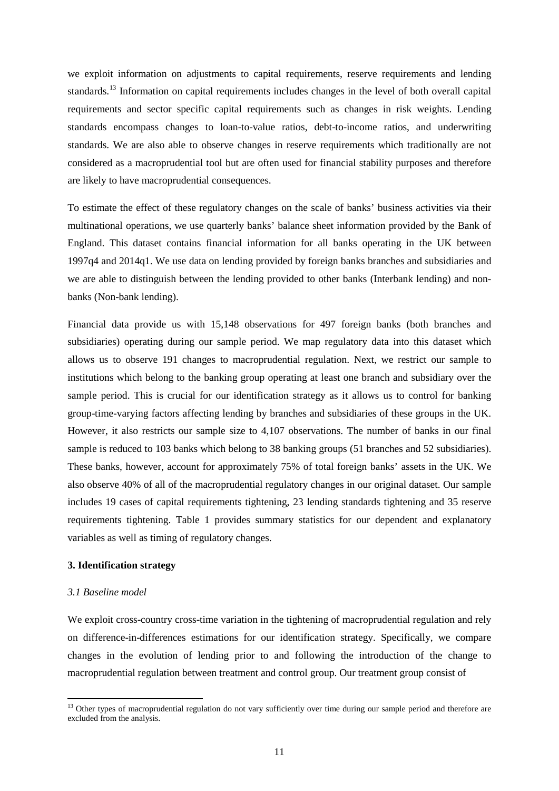we exploit information on adjustments to capital requirements, reserve requirements and lending standards.[13](#page-10-0) Information on capital requirements includes changes in the level of both overall capital requirements and sector specific capital requirements such as changes in risk weights. Lending standards encompass changes to loan-to-value ratios, debt-to-income ratios, and underwriting standards. We are also able to observe changes in reserve requirements which traditionally are not considered as a macroprudential tool but are often used for financial stability purposes and therefore are likely to have macroprudential consequences.

To estimate the effect of these regulatory changes on the scale of banks' business activities via their multinational operations, we use quarterly banks' balance sheet information provided by the Bank of England. This dataset contains financial information for all banks operating in the UK between 1997q4 and 2014q1. We use data on lending provided by foreign banks branches and subsidiaries and we are able to distinguish between the lending provided to other banks (Interbank lending) and nonbanks (Non-bank lending).

Financial data provide us with 15,148 observations for 497 foreign banks (both branches and subsidiaries) operating during our sample period. We map regulatory data into this dataset which allows us to observe 191 changes to macroprudential regulation. Next, we restrict our sample to institutions which belong to the banking group operating at least one branch and subsidiary over the sample period. This is crucial for our identification strategy as it allows us to control for banking group-time-varying factors affecting lending by branches and subsidiaries of these groups in the UK. However, it also restricts our sample size to 4,107 observations. The number of banks in our final sample is reduced to 103 banks which belong to 38 banking groups (51 branches and 52 subsidiaries). These banks, however, account for approximately 75% of total foreign banks' assets in the UK. We also observe 40% of all of the macroprudential regulatory changes in our original dataset. Our sample includes 19 cases of capital requirements tightening, 23 lending standards tightening and 35 reserve requirements tightening. Table 1 provides summary statistics for our dependent and explanatory variables as well as timing of regulatory changes.

## **3. Identification strategy**

### *3.1 Baseline model*

 $\overline{a}$ 

We exploit cross-country cross-time variation in the tightening of macroprudential regulation and rely on difference-in-differences estimations for our identification strategy. Specifically, we compare changes in the evolution of lending prior to and following the introduction of the change to macroprudential regulation between treatment and control group. Our treatment group consist of

<span id="page-10-0"></span><sup>&</sup>lt;sup>13</sup> Other types of macroprudential regulation do not vary sufficiently over time during our sample period and therefore are excluded from the analysis.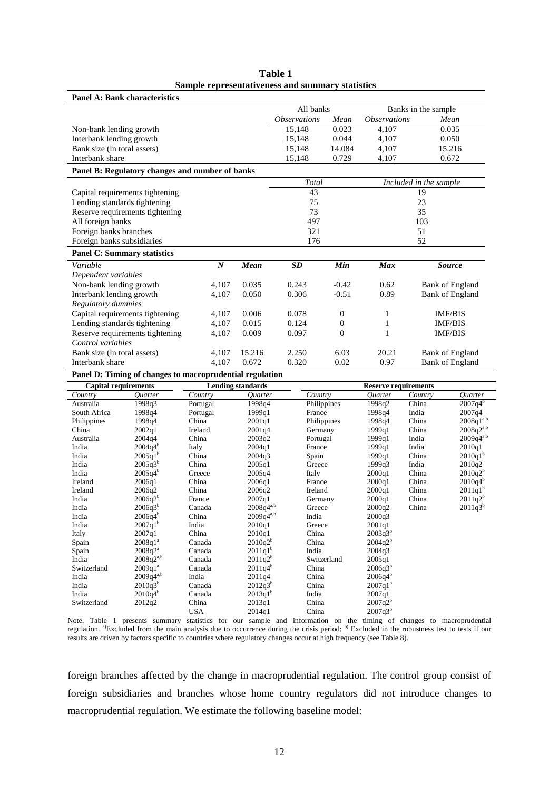| <b>Panel A: Bank characteristics</b>                     |                  |        |                            |              |                            |                        |  |  |
|----------------------------------------------------------|------------------|--------|----------------------------|--------------|----------------------------|------------------------|--|--|
|                                                          |                  |        | All banks                  |              |                            | Banks in the sample    |  |  |
|                                                          |                  |        | <i><b>Observations</b></i> | Mean         | <i><b>Observations</b></i> | Mean                   |  |  |
| Non-bank lending growth                                  |                  |        | 15,148                     | 0.023        | 4,107                      | 0.035                  |  |  |
| Interbank lending growth                                 |                  |        | 15,148                     | 0.044        | 4,107                      | 0.050                  |  |  |
| Bank size (ln total assets)                              |                  |        | 15,148                     | 14.084       | 4,107                      | 15.216                 |  |  |
| Interbank share                                          |                  |        | 15,148                     | 0.729        | 4,107                      | 0.672                  |  |  |
| Panel B: Regulatory changes and number of banks          |                  |        |                            |              |                            |                        |  |  |
|                                                          |                  |        | Total                      |              |                            | Included in the sample |  |  |
| Capital requirements tightening                          |                  |        | 43                         |              |                            | 19                     |  |  |
| Lending standards tightening                             |                  |        | 75                         |              | 23                         |                        |  |  |
| Reserve requirements tightening                          |                  |        | 73                         |              | 35                         |                        |  |  |
| All foreign banks                                        |                  |        | 497                        |              | 103                        |                        |  |  |
| Foreign banks branches                                   |                  |        | 321                        |              | 51                         |                        |  |  |
| Foreign banks subsidiaries                               |                  |        | 176                        |              | 52                         |                        |  |  |
| <b>Panel C: Summary statistics</b>                       |                  |        |                            |              |                            |                        |  |  |
| Variable                                                 | $\boldsymbol{N}$ | Mean   | SD                         | Min          | Max                        | <b>Source</b>          |  |  |
| Dependent variables                                      |                  |        |                            |              |                            |                        |  |  |
| Non-bank lending growth                                  | 4,107            | 0.035  | 0.243                      | $-0.42$      | 0.62                       | <b>Bank of England</b> |  |  |
| Interbank lending growth                                 | 4,107            | 0.050  | 0.306                      | $-0.51$      | 0.89                       | <b>Bank of England</b> |  |  |
| Regulatory dummies                                       |                  |        |                            |              |                            |                        |  |  |
| Capital requirements tightening                          | 4.107            | 0.006  | 0.078                      | $\mathbf{0}$ | 1                          | <b>IMF/BIS</b>         |  |  |
| Lending standards tightening                             | 4,107            | 0.015  | 0.124                      | $\theta$     | 1                          | <b>IMF/BIS</b>         |  |  |
| Reserve requirements tightening                          | 4,107            | 0.009  | 0.097                      | $\Omega$     |                            | IMF/BIS                |  |  |
| Control variables                                        |                  |        |                            |              |                            |                        |  |  |
| Bank size (ln total assets)                              | 4,107            | 15.216 | 2.250                      | 6.03         | 20.21                      | <b>Bank of England</b> |  |  |
| Interbank share                                          | 4.107            | 0.672  | 0.320                      | 0.02         | 0.97                       | <b>Bank of England</b> |  |  |
| Panel D: Timing of changes to macroprudential regulation |                  |        |                            |              |                            |                        |  |  |

**Table 1 Sample representativeness and summary statistics**

**Capital requirements Lending standards Reserve requirements** *Country Quarter Country Quarter Country Quarter Country Quarter* Australia 1998q3 Portugal 1998q4 Philippines 1998q2 China 2007q4b South Africa 1998q4 Portugal 1999q1 France 1998q4 India 2007q4 Philippines 1998q4 China 2001q1 Philippines 1998q4 China 2008q1<sup>a,b</sup> China 2002q1 Ireland 2001q4 Germany 1999q1 China 2008q2<sup>a,b</sup> Australia 2004q4 China 2003q2 Portugal 1999q1 India 2009q4<sup>a,b</sup> India 2004q4b Italy 2004q1 France 1999q1 India 2010q1 India  $2005q1<sup>b</sup>$  China  $2004q3$  Spain 1999q1 China  $2010q1<sup>b</sup>$ India  $2005q^{3b}$  China  $2005q^{1}$  Greece 1999q3 India  $2010q^{2}$ India  $2005q^{4}$  Greece  $2005q^{4}$  Italy  $2000q^{1}$  China  $2010q^{2}$ Ireland 2006q1 China 2006q1 France 2000q1 China 2010q4b Ireland 2006q2 China 2006q2 Ireland 2000q1 China 2011q1b India  $2006q2^b$  France  $2007q1$  Germany  $2000q1$  China  $2011q2^b$ India  $2006q^{3b}$  Canada  $2008q^{4ab}$  Greece  $2000q^2$  China  $2011q^{3b}$ India  $2006q^{4^b}$  China  $2009q^{4^{ab}}$  India  $2000q^{3}$ India  $2007q1^b$  India  $2010q1$  Greece  $2001q1$ Italy 2007q1 China 2010q1 China 2003q3<sup>b</sup> Spain  $2008q1^a$  Canada  $2010q2^b$  China  $2004q2^b$ Spain  $2008q2^a$  Canada  $2011q1^b$  India  $2004q3$ India  $2008q2^{a,b}$  Canada  $2011q2^b$  Switzerland  $2005q1$ Switzerland  $2009q1^a$  Canada  $2011q4^b$  China  $2006q3^b$ India  $2009q^{4^{a,b}}$  India  $2011q^{4}$  China  $2006q^{4^{b}}$ India  $2010q3^b$  Canada  $2012q3^b$  China  $2007q1^b$ India  $2010q^{4^b}$  Canada  $2013q^{1^b}$  India  $2007q^{1^b}$  $\frac{1}{2010q^4}$  Canada  $\frac{2010q^4}{2012q^2}$  China  $\frac{2013q^{1b}}{2013q^1}$  China  $\frac{2007q^{10}}{2007q^2}$ USA  $2014q1$  China  $2007q3$ 

Note. Table 1 presents summary statistics for our sample and information on the timing of changes to macroprudential regulation. <sup>a)</sup>Excluded from the main analysis due to occurrence during the crisis period; <sup>b)</sup> Excluded results are driven by factors specific to countries where regulatory changes occur at high frequency (see Table 8).

foreign branches affected by the change in macroprudential regulation. The control group consist of foreign subsidiaries and branches whose home country regulators did not introduce changes to macroprudential regulation. We estimate the following baseline model: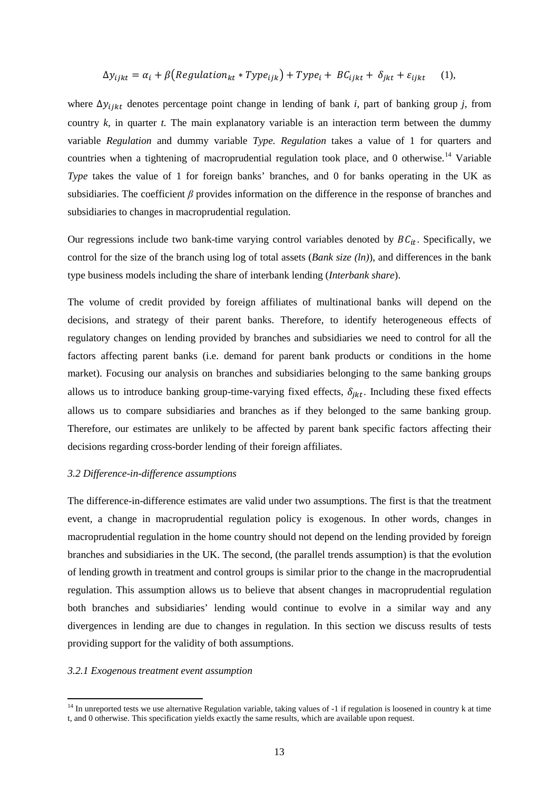$$
\Delta y_{ijkt} = \alpha_i + \beta \left( \text{Regularian}_{kt} * \text{Type}_{ijk} \right) + \text{Type}_i + \text{BC}_{ijkt} + \delta_{jkt} + \varepsilon_{ijkt} \tag{1},
$$

where Δ*y*<sub>iikt</sub> denotes percentage point change in lending of bank *i*, part of banking group *j*, from country  $k$ , in quarter  $t$ . The main explanatory variable is an interaction term between the dummy variable *Regulation* and dummy variable *Type. Regulation* takes a value of 1 for quarters and countries when a tightening of macroprudential regulation took place, and 0 otherwise.<sup>[14](#page-12-0)</sup> Variable *Type* takes the value of 1 for foreign banks' branches, and 0 for banks operating in the UK as subsidiaries. The coefficient *β* provides information on the difference in the response of branches and subsidiaries to changes in macroprudential regulation.

Our regressions include two bank-time varying control variables denoted by  $BC_{it}$ . Specifically, we control for the size of the branch using log of total assets (*Bank size (ln)*), and differences in the bank type business models including the share of interbank lending (*Interbank share*).

The volume of credit provided by foreign affiliates of multinational banks will depend on the decisions, and strategy of their parent banks. Therefore, to identify heterogeneous effects of regulatory changes on lending provided by branches and subsidiaries we need to control for all the factors affecting parent banks (i.e. demand for parent bank products or conditions in the home market). Focusing our analysis on branches and subsidiaries belonging to the same banking groups allows us to introduce banking group-time-varying fixed effects,  $\delta_{ikt}$ . Including these fixed effects allows us to compare subsidiaries and branches as if they belonged to the same banking group. Therefore, our estimates are unlikely to be affected by parent bank specific factors affecting their decisions regarding cross-border lending of their foreign affiliates.

#### *3.2 Difference-in-difference assumptions*

The difference-in-difference estimates are valid under two assumptions. The first is that the treatment event, a change in macroprudential regulation policy is exogenous. In other words, changes in macroprudential regulation in the home country should not depend on the lending provided by foreign branches and subsidiaries in the UK. The second, (the parallel trends assumption) is that the evolution of lending growth in treatment and control groups is similar prior to the change in the macroprudential regulation. This assumption allows us to believe that absent changes in macroprudential regulation both branches and subsidiaries' lending would continue to evolve in a similar way and any divergences in lending are due to changes in regulation. In this section we discuss results of tests providing support for the validity of both assumptions.

#### *3.2.1 Exogenous treatment event assumption*

 $\overline{a}$ 

<span id="page-12-0"></span> $14$  In unreported tests we use alternative Regulation variable, taking values of  $-1$  if regulation is loosened in country k at time t, and 0 otherwise. This specification yields exactly the same results, which are available upon request.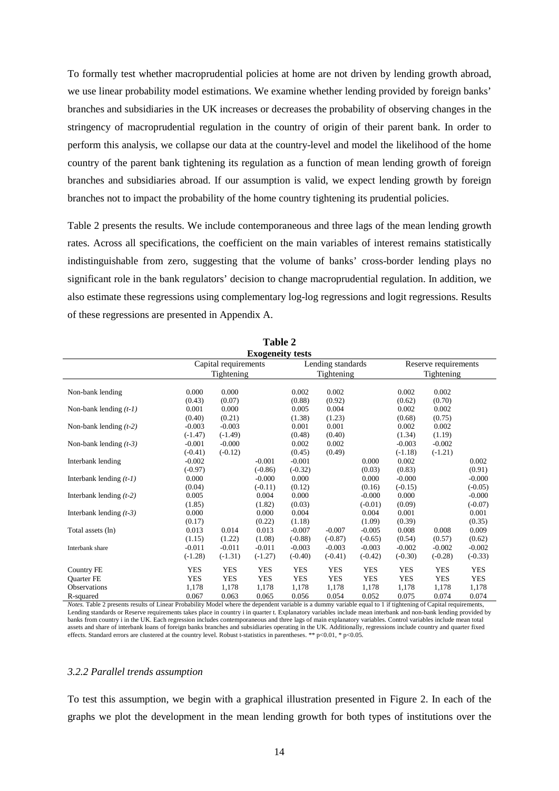To formally test whether macroprudential policies at home are not driven by lending growth abroad, we use linear probability model estimations. We examine whether lending provided by foreign banks' branches and subsidiaries in the UK increases or decreases the probability of observing changes in the stringency of macroprudential regulation in the country of origin of their parent bank. In order to perform this analysis, we collapse our data at the country-level and model the likelihood of the home country of the parent bank tightening its regulation as a function of mean lending growth of foreign branches and subsidiaries abroad. If our assumption is valid, we expect lending growth by foreign branches not to impact the probability of the home country tightening its prudential policies.

Table 2 presents the results. We include contemporaneous and three lags of the mean lending growth rates. Across all specifications, the coefficient on the main variables of interest remains statistically indistinguishable from zero, suggesting that the volume of banks' cross-border lending plays no significant role in the bank regulators' decision to change macroprudential regulation. In addition, we also estimate these regressions using complementary log-log regressions and logit regressions. Results of these regressions are presented in Appendix A.

|                           |            |                      | <b>Exogeneity tests</b> |            |                   |            |                      |            |            |
|---------------------------|------------|----------------------|-------------------------|------------|-------------------|------------|----------------------|------------|------------|
|                           |            | Capital requirements |                         |            | Lending standards |            | Reserve requirements |            |            |
|                           |            | Tightening           |                         |            | Tightening        |            |                      | Tightening |            |
|                           |            |                      |                         |            |                   |            |                      |            |            |
| Non-bank lending          | 0.000      | 0.000                |                         | 0.002      | 0.002             |            | 0.002                | 0.002      |            |
|                           | (0.43)     | (0.07)               |                         | (0.88)     | (0.92)            |            | (0.62)               | (0.70)     |            |
| Non-bank lending $(t-1)$  | 0.001      | 0.000                |                         | 0.005      | 0.004             |            | 0.002                | 0.002      |            |
|                           | (0.40)     | (0.21)               |                         | (1.38)     | (1.23)            |            | (0.68)               | (0.75)     |            |
| Non-bank lending $(t-2)$  | $-0.003$   | $-0.003$             |                         | 0.001      | 0.001             |            | 0.002                | 0.002      |            |
|                           | $(-1.47)$  | $(-1.49)$            |                         | (0.48)     | (0.40)            |            | (1.34)               | (1.19)     |            |
| Non-bank lending $(t-3)$  | $-0.001$   | $-0.000$             |                         | 0.002      | 0.002             |            | $-0.003$             | $-0.002$   |            |
|                           | $(-0.41)$  | $(-0.12)$            |                         | (0.45)     | (0.49)            |            | $(-1.18)$            | $(-1.21)$  |            |
| Interbank lending         | $-0.002$   |                      | $-0.001$                | $-0.001$   |                   | 0.000      | 0.002                |            | 0.002      |
|                           | $(-0.97)$  |                      | $(-0.86)$               | $(-0.32)$  |                   | (0.03)     | (0.83)               |            | (0.91)     |
| Interbank lending $(t-1)$ | 0.000      |                      | $-0.000$                | 0.000      |                   | 0.000      | $-0.000$             |            | $-0.000$   |
|                           | (0.04)     |                      | $(-0.11)$               | (0.12)     |                   | (0.16)     | $(-0.15)$            |            | $(-0.05)$  |
| Interbank lending $(t-2)$ | 0.005      |                      | 0.004                   | 0.000      |                   | $-0.000$   | 0.000                |            | $-0.000$   |
|                           | (1.85)     |                      | (1.82)                  | (0.03)     |                   | $(-0.01)$  | (0.09)               |            | $(-0.07)$  |
| Interbank lending $(t-3)$ | 0.000      |                      | 0.000                   | 0.004      |                   | 0.004      | 0.001                |            | 0.001      |
|                           | (0.17)     |                      | (0.22)                  | (1.18)     |                   | (1.09)     | (0.39)               |            | (0.35)     |
| Total assets (ln)         | 0.013      | 0.014                | 0.013                   | $-0.007$   | $-0.007$          | $-0.005$   | 0.008                | 0.008      | 0.009      |
|                           | (1.15)     | (1.22)               | (1.08)                  | $(-0.88)$  | $(-0.87)$         | $(-0.65)$  | (0.54)               | (0.57)     | (0.62)     |
| Interbank share           | $-0.011$   | $-0.011$             | $-0.011$                | $-0.003$   | $-0.003$          | $-0.003$   | $-0.002$             | $-0.002$   | $-0.002$   |
|                           | $(-1.28)$  | $(-1.31)$            | $(-1.27)$               | $(-0.40)$  | $(-0.41)$         | $(-0.42)$  | $(-0.30)$            | $(-0.28)$  | $(-0.33)$  |
|                           |            |                      |                         |            |                   |            |                      |            |            |
| Country FE                | <b>YES</b> | <b>YES</b>           | <b>YES</b>              | <b>YES</b> | <b>YES</b>        | <b>YES</b> | <b>YES</b>           | <b>YES</b> | <b>YES</b> |
| <b>Ouarter FE</b>         | <b>YES</b> | <b>YES</b>           | <b>YES</b>              | <b>YES</b> | <b>YES</b>        | <b>YES</b> | <b>YES</b>           | <b>YES</b> | <b>YES</b> |
| <b>Observations</b>       | 1,178      | 1,178                | 1,178                   | 1,178      | 1,178             | 1,178      | 1,178                | 1,178      | 1,178      |
| R-squared                 | 0.067      | 0.063                | 0.065                   | 0.056      | 0.054             | 0.052      | 0.075                | 0.074      | 0.074      |

**Table 2**

*Notes.* Table 2 presents results of Linear Probability Model where the dependent variable is a dummy variable equal to 1 if tightening of Capital requirements, Lending standards or Reserve requirements takes place in country i in quarter t. Explanatory variables include mean interbank and non-bank lending provided by banks from country i in the UK. Each regression includes contemporaneous and three lags of main explanatory variables. Control variables include mean total assets and share of interbank loans of foreign banks branches and subsidiaries operating in the UK. Additionally, regressions include country and quarter fixed effects. Standard errors are clustered at the country level. Robust t-statistics in parentheses. \*\* p<0.01, \* p<0.05.

#### *3.2.2 Parallel trends assumption*

To test this assumption, we begin with a graphical illustration presented in Figure 2. In each of the graphs we plot the development in the mean lending growth for both types of institutions over the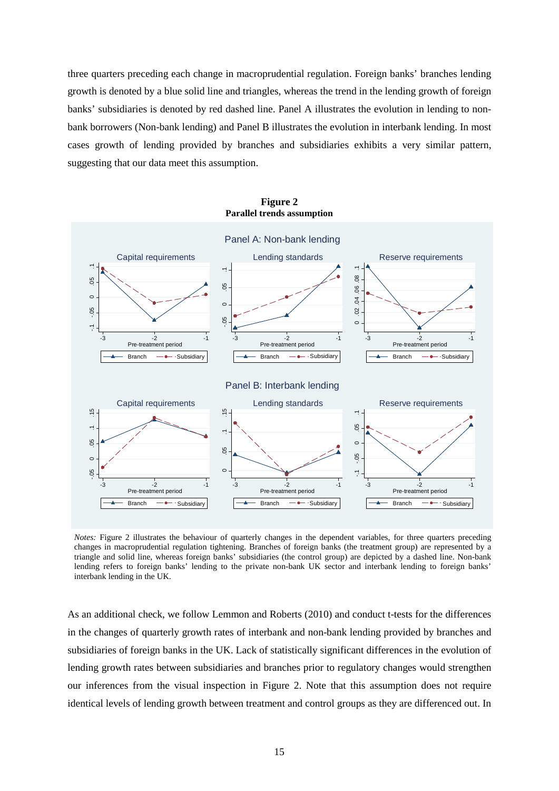three quarters preceding each change in macroprudential regulation. Foreign banks' branches lending growth is denoted by a blue solid line and triangles, whereas the trend in the lending growth of foreign banks' subsidiaries is denoted by red dashed line. Panel A illustrates the evolution in lending to nonbank borrowers (Non-bank lending) and Panel B illustrates the evolution in interbank lending. In most cases growth of lending provided by branches and subsidiaries exhibits a very similar pattern, suggesting that our data meet this assumption.



**Figure 2 Parallel trends assumption**

*Notes:* Figure 2 illustrates the behaviour of quarterly changes in the dependent variables, for three quarters preceding changes in macroprudential regulation tightening. Branches of foreign banks (the treatment group) are represented by a triangle and solid line, whereas foreign banks' subsidiaries (the control group) are depicted by a dashed line. Non-bank lending refers to foreign banks' lending to the private non-bank UK sector and interbank lending to foreign banks' interbank lending in the UK.

As an additional check, we follow Lemmon and Roberts (2010) and conduct t-tests for the differences in the changes of quarterly growth rates of interbank and non-bank lending provided by branches and subsidiaries of foreign banks in the UK. Lack of statistically significant differences in the evolution of lending growth rates between subsidiaries and branches prior to regulatory changes would strengthen our inferences from the visual inspection in Figure 2. Note that this assumption does not require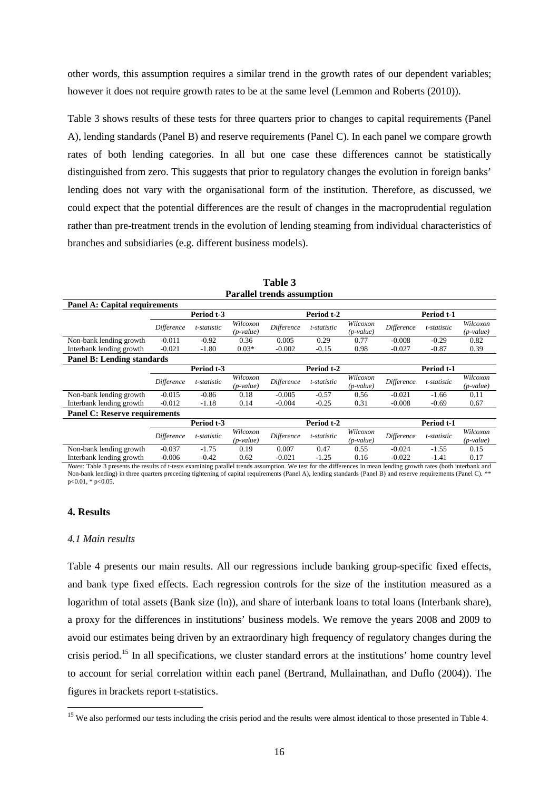other words, this assumption requires a similar trend in the growth rates of our dependent variables; however it does not require growth rates to be at the same level (Lemmon and Roberts (2010)).

Table 3 shows results of these tests for three quarters prior to changes to capital requirements (Panel A), lending standards (Panel B) and reserve requirements (Panel C). In each panel we compare growth rates of both lending categories. In all but one case these differences cannot be statistically distinguished from zero. This suggests that prior to regulatory changes the evolution in foreign banks' lending does not vary with the organisational form of the institution. Therefore, as discussed, we could expect that the potential differences are the result of changes in the macroprudential regulation rather than pre-treatment trends in the evolution of lending steaming from individual characteristics of branches and subsidiaries (e.g. different business models).

| <b>Panel A: Capital requirements</b> |                   |             |                         |                   |             |                         |            |             |                         |  |  |
|--------------------------------------|-------------------|-------------|-------------------------|-------------------|-------------|-------------------------|------------|-------------|-------------------------|--|--|
|                                      |                   | Period t-3  |                         |                   | Period t-2  |                         |            | Period t-1  |                         |  |  |
|                                      | <b>Difference</b> | t-statistic | Wilcoxon<br>$(p-value)$ | <b>Difference</b> | t-statistic | Wilcoxon<br>$(p-value)$ | Difference | t-statistic | Wilcoxon<br>$(p-value)$ |  |  |
| Non-bank lending growth              | $-0.011$          | $-0.92$     | 0.36                    | 0.005             | 0.29        | 0.77                    | $-0.008$   | $-0.29$     | 0.82                    |  |  |
| Interbank lending growth             | $-0.021$          | $-1.80$     | $0.03*$                 | $-0.002$          | $-0.15$     | 0.98                    | $-0.027$   | $-0.87$     | 0.39                    |  |  |
| <b>Panel B: Lending standards</b>    |                   |             |                         |                   |             |                         |            |             |                         |  |  |
|                                      | Period t-3        |             |                         |                   | Period t-2  |                         |            |             | Period t-1              |  |  |
|                                      | <i>Difference</i> | t-statistic | Wilcoxon<br>$(p-value)$ | <b>Difference</b> | t-statistic | Wilcoxon<br>$(p-value)$ | Difference | t-statistic | Wilcoxon<br>$(p-value)$ |  |  |
| Non-bank lending growth              | $-0.015$          | $-0.86$     | 0.18                    | $-0.005$          | $-0.57$     | 0.56                    | $-0.021$   | $-1.66$     | 0.11                    |  |  |
| Interbank lending growth             | $-0.012$          | $-1.18$     | 0.14                    | $-0.004$          | $-0.25$     | 0.31                    | $-0.008$   | $-0.69$     | 0.67                    |  |  |
| <b>Panel C: Reserve requirements</b> |                   |             |                         |                   |             |                         |            |             |                         |  |  |
|                                      |                   | Period t-3  |                         |                   | Period t-2  |                         |            | Period t-1  |                         |  |  |
|                                      | <i>Difference</i> | t-statistic | Wilcoxon<br>$(p-value)$ | <b>Difference</b> | t-statistic | Wilcoxon<br>$(p-value)$ | Difference | t-statistic | Wilcoxon<br>$(p-value)$ |  |  |
| Non-bank lending growth              | $-0.037$          | $-1.75$     | 0.19                    | 0.007             | 0.47        | 0.55                    | $-0.024$   | $-1.55$     | 0.15                    |  |  |
| Interbank lending growth             | $-0.006$          | $-0.42$     | 0.62                    | $-0.021$          | $-1.25$     | 0.16                    | $-0.022$   | $-1.41$     | 0.17                    |  |  |

**Table 3 Parallel trends assumption**

*Notes:* Table 3 presents the results of t-tests examining parallel trends assumption. We test for the differences in mean lending growth rates (both interbank and Non-bank lending) in three quarters preceding tightening of capital requirements (Panel A), lending standards (Panel B) and reserve requirements (Panel C). \*\* p<0.01, \* p<0.05.

### **4. Results**

1

#### *4.1 Main results*

Table 4 presents our main results. All our regressions include banking group-specific fixed effects, and bank type fixed effects. Each regression controls for the size of the institution measured as a logarithm of total assets (Bank size (ln)), and share of interbank loans to total loans (Interbank share), a proxy for the differences in institutions' business models. We remove the years 2008 and 2009 to avoid our estimates being driven by an extraordinary high frequency of regulatory changes during the crisis period.[15](#page-15-0) In all specifications, we cluster standard errors at the institutions' home country level to account for serial correlation within each panel (Bertrand, Mullainathan, and Duflo (2004)). The figures in brackets report t-statistics.

<span id="page-15-0"></span><sup>&</sup>lt;sup>15</sup> We also performed our tests including the crisis period and the results were almost identical to those presented in Table 4.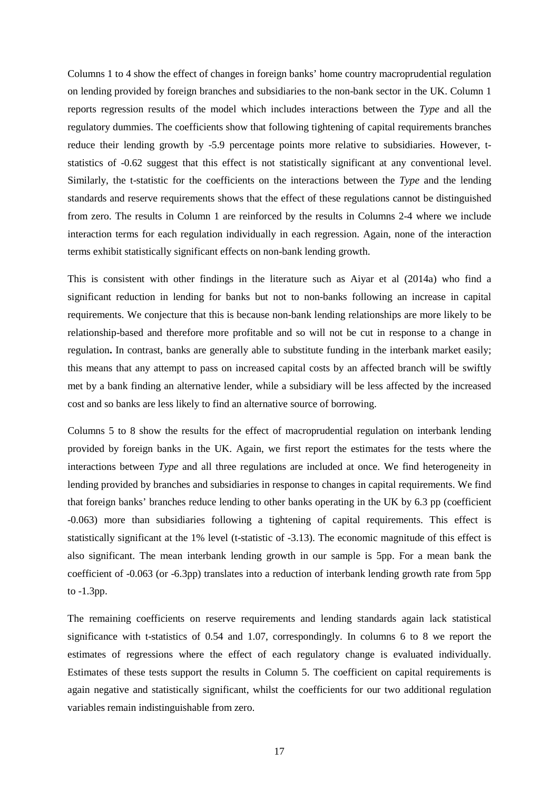Columns 1 to 4 show the effect of changes in foreign banks' home country macroprudential regulation on lending provided by foreign branches and subsidiaries to the non-bank sector in the UK. Column 1 reports regression results of the model which includes interactions between the *Type* and all the regulatory dummies. The coefficients show that following tightening of capital requirements branches reduce their lending growth by -5.9 percentage points more relative to subsidiaries. However, tstatistics of -0.62 suggest that this effect is not statistically significant at any conventional level. Similarly, the t-statistic for the coefficients on the interactions between the *Type* and the lending standards and reserve requirements shows that the effect of these regulations cannot be distinguished from zero. The results in Column 1 are reinforced by the results in Columns 2-4 where we include interaction terms for each regulation individually in each regression. Again, none of the interaction terms exhibit statistically significant effects on non-bank lending growth.

This is consistent with other findings in the literature such as Aiyar et al (2014a) who find a significant reduction in lending for banks but not to non-banks following an increase in capital requirements. We conjecture that this is because non-bank lending relationships are more likely to be relationship-based and therefore more profitable and so will not be cut in response to a change in regulation**.** In contrast, banks are generally able to substitute funding in the interbank market easily; this means that any attempt to pass on increased capital costs by an affected branch will be swiftly met by a bank finding an alternative lender, while a subsidiary will be less affected by the increased cost and so banks are less likely to find an alternative source of borrowing.

Columns 5 to 8 show the results for the effect of macroprudential regulation on interbank lending provided by foreign banks in the UK. Again, we first report the estimates for the tests where the interactions between *Type* and all three regulations are included at once. We find heterogeneity in lending provided by branches and subsidiaries in response to changes in capital requirements. We find that foreign banks' branches reduce lending to other banks operating in the UK by 6.3 pp (coefficient -0.063) more than subsidiaries following a tightening of capital requirements. This effect is statistically significant at the 1% level (t-statistic of -3.13). The economic magnitude of this effect is also significant. The mean interbank lending growth in our sample is 5pp. For a mean bank the coefficient of -0.063 (or -6.3pp) translates into a reduction of interbank lending growth rate from 5pp to -1.3pp.

The remaining coefficients on reserve requirements and lending standards again lack statistical significance with t-statistics of 0.54 and 1.07, correspondingly. In columns 6 to 8 we report the estimates of regressions where the effect of each regulatory change is evaluated individually. Estimates of these tests support the results in Column 5. The coefficient on capital requirements is again negative and statistically significant, whilst the coefficients for our two additional regulation variables remain indistinguishable from zero.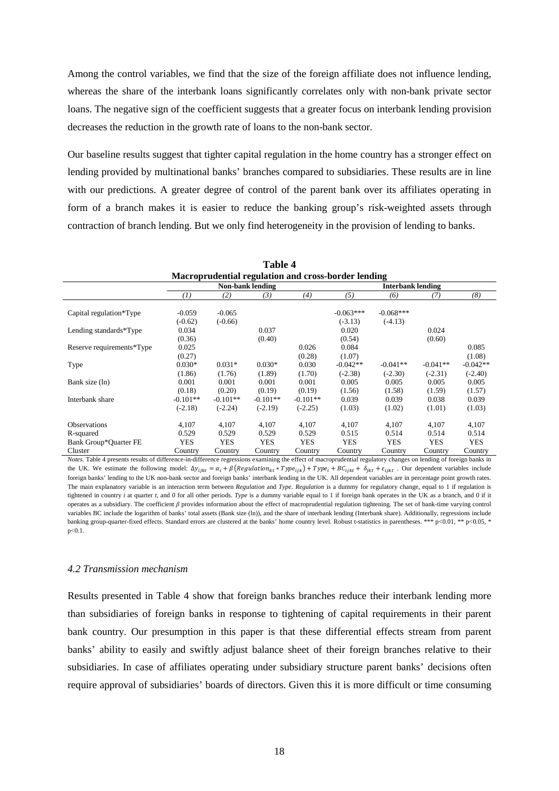Among the control variables, we find that the size of the foreign affiliate does not influence lending, whereas the share of the interbank loans significantly correlates only with non-bank private sector loans. The negative sign of the coefficient suggests that a greater focus on interbank lending provision decreases the reduction in the growth rate of loans to the non-bank sector.

Our baseline results suggest that tighter capital regulation in the home country has a stronger effect on lending provided by multinational banks' branches compared to subsidiaries. These results are in line with our predictions. A greater degree of control of the parent bank over its affiliates operating in form of a branch makes it is easier to reduce the banking group's risk-weighted assets through contraction of branch lending. But we only find heterogeneity in the provision of lending to banks.

|                                    |                         |                         | Table 4                 |                         |                                                     |                          |                         |                         |  |
|------------------------------------|-------------------------|-------------------------|-------------------------|-------------------------|-----------------------------------------------------|--------------------------|-------------------------|-------------------------|--|
|                                    |                         |                         |                         |                         | Macroprudential regulation and cross-border lending |                          |                         |                         |  |
|                                    |                         |                         | <b>Non-bank lending</b> |                         | <b>Interbank lending</b>                            |                          |                         |                         |  |
|                                    | $\left(1\right)$        | (2)                     | (3)                     | (4)                     | (5)                                                 | (6)                      | (7)                     | (8)                     |  |
| Capital regulation*Type            | $-0.059$<br>$(-0.62)$   | $-0.065$<br>$(-0.66)$   |                         |                         | $-0.063***$<br>$(-3.13)$                            | $-0.068***$<br>$(-4.13)$ |                         |                         |  |
| Lending standards*Type             | 0.034<br>(0.36)         |                         | 0.037<br>(0.40)         |                         | 0.020<br>(0.54)                                     |                          | 0.024<br>(0.60)         |                         |  |
| Reserve requirements*Type          | 0.025<br>(0.27)         |                         |                         | 0.026<br>(0.28)         | 0.084<br>(1.07)                                     |                          |                         | 0.085<br>(1.08)         |  |
| Type                               | $0.030*$<br>(1.86)      | $0.031*$<br>(1.76)      | $0.030*$<br>(1.89)      | 0.030<br>(1.70)         | $-0.042**$<br>$(-2.38)$                             | $-0.041**$<br>$(-2.30)$  | $-0.041**$<br>$(-2.31)$ | $-0.042**$<br>$(-2.40)$ |  |
| Bank size (ln)                     | 0.001<br>(0.18)         | 0.001<br>(0.20)         | 0.001<br>(0.19)         | 0.001<br>(0.19)         | 0.005<br>(1.56)                                     | 0.005<br>(1.58)          | 0.005<br>(1.59)         | 0.005<br>(1.57)         |  |
| Interbank share                    | $-0.101**$<br>$(-2.18)$ | $-0.101**$<br>$(-2.24)$ | $-0.101**$<br>$(-2.19)$ | $-0.101**$<br>$(-2.25)$ | 0.039<br>(1.03)                                     | 0.039<br>(1.02)          | 0.038<br>(1.01)         | 0.039<br>(1.03)         |  |
| <b>Observations</b>                | 4,107                   | 4.107                   | 4,107                   | 4,107                   | 4,107                                               | 4,107                    | 4.107                   | 4,107                   |  |
| R-squared<br>Bank Group*Quarter FE | 0.529<br><b>YES</b>     | 0.529<br><b>YES</b>     | 0.529<br><b>YES</b>     | 0.529<br><b>YES</b>     | 0.515<br><b>YES</b>                                 | 0.514<br><b>YES</b>      | 0.514<br><b>YES</b>     | 0.514<br><b>YES</b>     |  |
| Cluster                            | Country                 | Country                 | Country                 | Country                 | Country                                             | Country                  | Country                 | Country                 |  |

*Notes.* Table 4 presents results of difference-in-difference regressions examining the effect of macroprudential regulatory changes on lending of foreign banks in the UK. We estimate the following model:  $\Delta y_{i j k t} = \alpha_i + \beta (Regulation_{kt} * Type_{ijk}) + Type_{i} + BC_{i j k t} + \delta_{i k t} + \epsilon_{i j k t}$ . Our dependent variables include foreign banks' lending to the UK non-bank sector and foreign banks' interbank lending in the UK. All dependent variables are in percentage point growth rates. The main explanatory variable is an interaction term between *Regulation* and *Type*. *Regulation* is a dummy for regulatory change, equal to 1 if regulation is tightened in country *i* at quarter *t*, and 0 for all other periods. *Type* is a dummy variable equal to 1 if foreign bank operates in the UK as a branch, and 0 if it operates as a subsidiary. The coefficient *β* provides information about the effect of macroprudential regulation tightening. The set of bank-time varying control variables BC include the logarithm of banks' total assets (Bank size (ln)), and the share of interbank lending (Interbank share). Additionally, regressions include banking group-quarter-fixed effects. Standard errors are clustered at the banks' home country level. Robust t-statistics in parentheses. \*\*\* p<0.01, \*\* p<0.05, \* p<0.1.

#### *4.2 Transmission mechanism*

Results presented in Table 4 show that foreign banks branches reduce their interbank lending more than subsidiaries of foreign banks in response to tightening of capital requirements in their parent bank country. Our presumption in this paper is that these differential effects stream from parent banks' ability to easily and swiftly adjust balance sheet of their foreign branches relative to their subsidiaries. In case of affiliates operating under subsidiary structure parent banks' decisions often require approval of subsidiaries' boards of directors. Given this it is more difficult or time consuming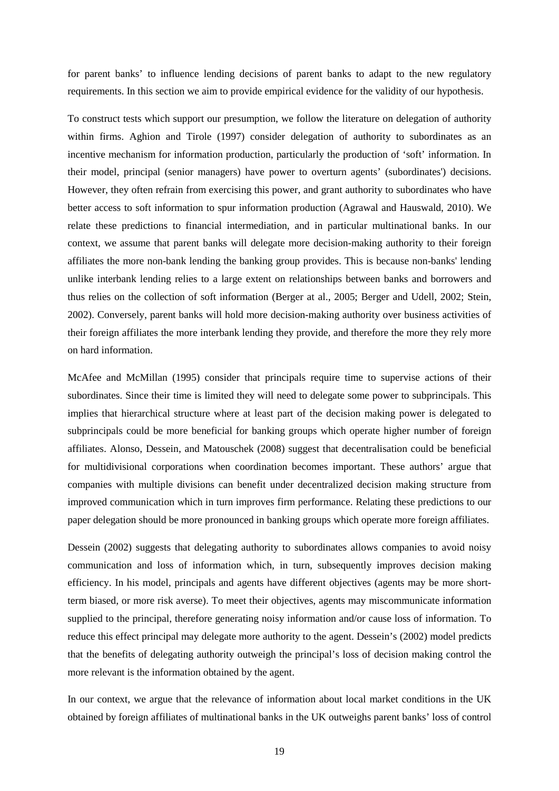for parent banks' to influence lending decisions of parent banks to adapt to the new regulatory requirements. In this section we aim to provide empirical evidence for the validity of our hypothesis.

To construct tests which support our presumption, we follow the literature on delegation of authority within firms. Aghion and Tirole (1997) consider delegation of authority to subordinates as an incentive mechanism for information production, particularly the production of 'soft' information. In their model, principal (senior managers) have power to overturn agents' (subordinates') decisions. However, they often refrain from exercising this power, and grant authority to subordinates who have better access to soft information to spur information production (Agrawal and Hauswald, 2010). We relate these predictions to financial intermediation, and in particular multinational banks. In our context, we assume that parent banks will delegate more decision-making authority to their foreign affiliates the more non-bank lending the banking group provides. This is because non-banks' lending unlike interbank lending relies to a large extent on relationships between banks and borrowers and thus relies on the collection of soft information (Berger at al., 2005; Berger and Udell, 2002; Stein, 2002). Conversely, parent banks will hold more decision-making authority over business activities of their foreign affiliates the more interbank lending they provide, and therefore the more they rely more on hard information.

McAfee and McMillan (1995) consider that principals require time to supervise actions of their subordinates. Since their time is limited they will need to delegate some power to subprincipals. This implies that hierarchical structure where at least part of the decision making power is delegated to subprincipals could be more beneficial for banking groups which operate higher number of foreign affiliates. Alonso, Dessein, and Matouschek (2008) suggest that decentralisation could be beneficial for multidivisional corporations when coordination becomes important. These authors' argue that companies with multiple divisions can benefit under decentralized decision making structure from improved communication which in turn improves firm performance. Relating these predictions to our paper delegation should be more pronounced in banking groups which operate more foreign affiliates.

Dessein (2002) suggests that delegating authority to subordinates allows companies to avoid noisy communication and loss of information which, in turn, subsequently improves decision making efficiency. In his model, principals and agents have different objectives (agents may be more shortterm biased, or more risk averse). To meet their objectives, agents may miscommunicate information supplied to the principal, therefore generating noisy information and/or cause loss of information. To reduce this effect principal may delegate more authority to the agent. Dessein's (2002) model predicts that the benefits of delegating authority outweigh the principal's loss of decision making control the more relevant is the information obtained by the agent.

In our context, we argue that the relevance of information about local market conditions in the UK obtained by foreign affiliates of multinational banks in the UK outweighs parent banks' loss of control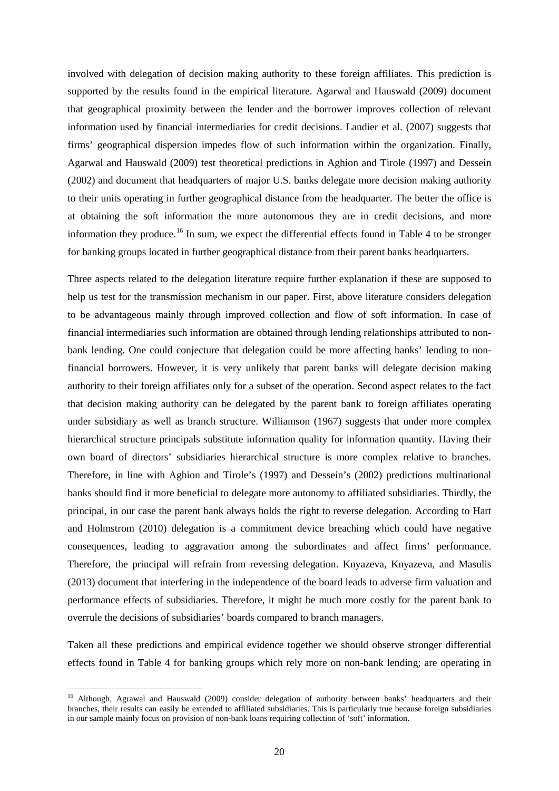involved with delegation of decision making authority to these foreign affiliates. This prediction is supported by the results found in the empirical literature. Agarwal and Hauswald (2009) document that geographical proximity between the lender and the borrower improves collection of relevant information used by financial intermediaries for credit decisions. Landier et al. (2007) suggests that firms' geographical dispersion impedes flow of such information within the organization. Finally, Agarwal and Hauswald (2009) test theoretical predictions in Aghion and Tirole (1997) and Dessein (2002) and document that headquarters of major U.S. banks delegate more decision making authority to their units operating in further geographical distance from the headquarter. The better the office is at obtaining the soft information the more autonomous they are in credit decisions, and more information they produce.<sup>[16](#page-19-0)</sup> In sum, we expect the differential effects found in Table 4 to be stronger for banking groups located in further geographical distance from their parent banks headquarters.

Three aspects related to the delegation literature require further explanation if these are supposed to help us test for the transmission mechanism in our paper. First, above literature considers delegation to be advantageous mainly through improved collection and flow of soft information. In case of financial intermediaries such information are obtained through lending relationships attributed to nonbank lending. One could conjecture that delegation could be more affecting banks' lending to nonfinancial borrowers. However, it is very unlikely that parent banks will delegate decision making authority to their foreign affiliates only for a subset of the operation. Second aspect relates to the fact that decision making authority can be delegated by the parent bank to foreign affiliates operating under subsidiary as well as branch structure. Williamson (1967) suggests that under more complex hierarchical structure principals substitute information quality for information quantity. Having their own board of directors' subsidiaries hierarchical structure is more complex relative to branches. Therefore, in line with Aghion and Tirole's (1997) and Dessein's (2002) predictions multinational banks should find it more beneficial to delegate more autonomy to affiliated subsidiaries. Thirdly, the principal, in our case the parent bank always holds the right to reverse delegation. According to Hart and Holmstrom (2010) delegation is a commitment device breaching which could have negative consequences, leading to aggravation among the subordinates and affect firms' performance. Therefore, the principal will refrain from reversing delegation. Knyazeva, Knyazeva, and Masulis (2013) document that interfering in the independence of the board leads to adverse firm valuation and performance effects of subsidiaries. Therefore, it might be much more costly for the parent bank to overrule the decisions of subsidiaries' boards compared to branch managers.

Taken all these predictions and empirical evidence together we should observe stronger differential effects found in Table 4 for banking groups which rely more on non-bank lending; are operating in

**.** 

<span id="page-19-0"></span><sup>&</sup>lt;sup>16</sup> Although, Agrawal and Hauswald (2009) consider delegation of authority between banks' headquarters and their branches, their results can easily be extended to affiliated subsidiaries. This is particularly true because foreign subsidiaries in our sample mainly focus on provision of non-bank loans requiring collection of 'soft' information.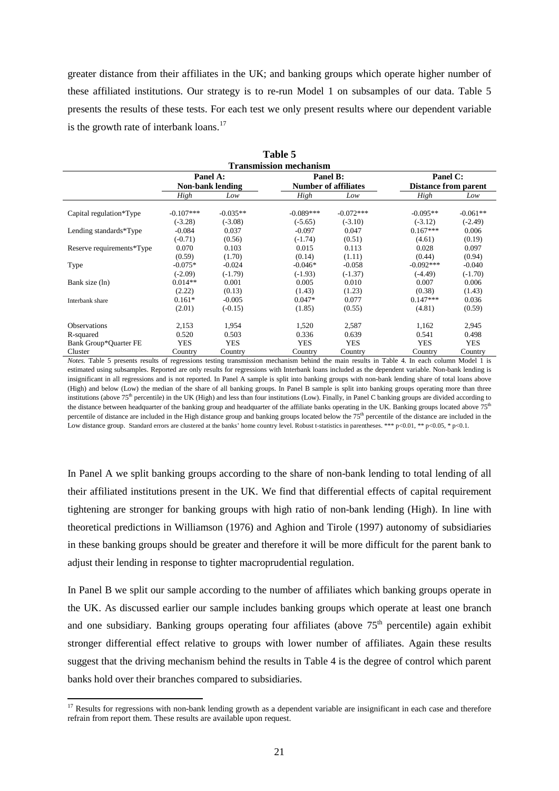greater distance from their affiliates in the UK; and banking groups which operate higher number of these affiliated institutions. Our strategy is to re-run Model 1 on subsamples of our data. Table 5 presents the results of these tests. For each test we only present results where our dependent variable is the growth rate of interbank loans.<sup>[17](#page-20-0)</sup>

**Table 5**

|                           |                        |                       | 1 ане э                       |                       |                             |                       |
|---------------------------|------------------------|-----------------------|-------------------------------|-----------------------|-----------------------------|-----------------------|
|                           |                        |                       | <b>Transmission mechanism</b> |                       |                             |                       |
|                           | Panel A:               |                       | Panel B:                      |                       | Panel C:                    |                       |
|                           |                        | Non-bank lending      | <b>Number of affiliates</b>   |                       | <b>Distance from parent</b> |                       |
|                           | High                   | Low                   | High                          | Low                   | High                        | Low                   |
| Capital regulation*Type   | $-0.107***$            | $-0.035**$            | $-0.089***$                   | $-0.072***$           | $-0.095**$                  | $-0.061**$            |
| Lending standards*Type    | $(-3.28)$<br>$-0.084$  | $(-3.08)$<br>0.037    | $(-5.65)$<br>$-0.097$         | $(-3.10)$<br>0.047    | $(-3.12)$<br>$0.167***$     | $(-2.49)$<br>0.006    |
| Reserve requirements*Type | $(-0.71)$<br>0.070     | (0.56)<br>0.103       | $(-1.74)$<br>0.015            | (0.51)<br>0.113       | (4.61)<br>0.028             | (0.19)<br>0.097       |
|                           | (0.59)                 | (1.70)                | (0.14)                        | (1.11)                | (0.44)                      | (0.94)                |
| Type                      | $-0.075*$<br>$(-2.09)$ | $-0.024$<br>$(-1.79)$ | $-0.046*$<br>$(-1.93)$        | $-0.058$<br>$(-1.37)$ | $-0.092***$<br>$(-4.49)$    | $-0.040$<br>$(-1.70)$ |
| Bank size (ln)            | $0.014**$<br>(2.22)    | 0.001<br>(0.13)       | 0.005<br>(1.43)               | 0.010<br>(1.23)       | 0.007<br>(0.38)             | 0.006<br>(1.43)       |
| Interbank share           | $0.161*$               | $-0.005$              | $0.047*$                      | 0.077                 | $0.147***$                  | 0.036                 |
|                           | (2.01)                 | $(-0.15)$             | (1.85)                        | (0.55)                | (4.81)                      | (0.59)                |
| <b>Observations</b>       | 2,153                  | 1,954                 | 1,520                         | 2,587                 | 1,162                       | 2,945                 |
| R-squared                 | 0.520                  | 0.503                 | 0.336                         | 0.639                 | 0.541                       | 0.498                 |
| Bank Group*Quarter FE     | <b>YES</b>             | <b>YES</b>            | <b>YES</b>                    | <b>YES</b>            | <b>YES</b>                  | <b>YES</b>            |
| Cluster                   | Country                | Country               | Country                       | Country               | Country                     | Country               |

*Notes.* Table 5 presents results of regressions testing transmission mechanism behind the main results in Table 4. In each column Model 1 is estimated using subsamples. Reported are only results for regressions with Interbank loans included as the dependent variable. Non-bank lending is insignificant in all regressions and is not reported. In Panel A sample is split into banking groups with non-bank lending share of total loans above (High) and below (Low) the median of the share of all banking groups. In Panel B sample is split into banking groups operating more than three institutions (above 75<sup>th</sup> percentile) in the UK (High) and less than four institutions (Low). Finally, in Panel C banking groups are divided according to the distance between headquarter of the banking group and headquarter of the affiliate banks operating in the UK. Banking groups located above  $75<sup>th</sup>$ percentile of distance are included in the High distance group and banking groups located below the 75<sup>th</sup> percentile of the distance are included in the Low distance group. Standard errors are clustered at the banks' home country level. Robust t-statistics in parentheses. \*\*\* p<0.01, \*\* p<0.05, \* p<0.1.

In Panel A we split banking groups according to the share of non-bank lending to total lending of all their affiliated institutions present in the UK. We find that differential effects of capital requirement tightening are stronger for banking groups with high ratio of non-bank lending (High). In line with theoretical predictions in Williamson (1976) and Aghion and Tirole (1997) autonomy of subsidiaries in these banking groups should be greater and therefore it will be more difficult for the parent bank to adjust their lending in response to tighter macroprudential regulation.

In Panel B we split our sample according to the number of affiliates which banking groups operate in the UK. As discussed earlier our sample includes banking groups which operate at least one branch and one subsidiary. Banking groups operating four affiliates (above  $75<sup>th</sup>$  percentile) again exhibit stronger differential effect relative to groups with lower number of affiliates. Again these results suggest that the driving mechanism behind the results in Table 4 is the degree of control which parent banks hold over their branches compared to subsidiaries.

 $\overline{a}$ 

<span id="page-20-0"></span> $17$  Results for regressions with non-bank lending growth as a dependent variable are insignificant in each case and therefore refrain from report them. These results are available upon request.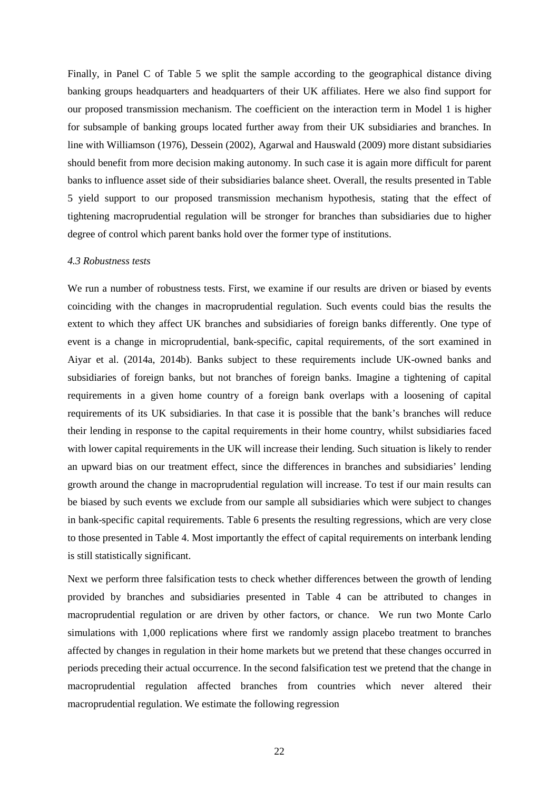Finally, in Panel C of Table 5 we split the sample according to the geographical distance diving banking groups headquarters and headquarters of their UK affiliates. Here we also find support for our proposed transmission mechanism. The coefficient on the interaction term in Model 1 is higher for subsample of banking groups located further away from their UK subsidiaries and branches. In line with Williamson (1976), Dessein (2002), Agarwal and Hauswald (2009) more distant subsidiaries should benefit from more decision making autonomy. In such case it is again more difficult for parent banks to influence asset side of their subsidiaries balance sheet. Overall, the results presented in Table 5 yield support to our proposed transmission mechanism hypothesis, stating that the effect of tightening macroprudential regulation will be stronger for branches than subsidiaries due to higher degree of control which parent banks hold over the former type of institutions.

### *4.3 Robustness tests*

We run a number of robustness tests. First, we examine if our results are driven or biased by events coinciding with the changes in macroprudential regulation. Such events could bias the results the extent to which they affect UK branches and subsidiaries of foreign banks differently. One type of event is a change in microprudential, bank-specific, capital requirements, of the sort examined in Aiyar et al. (2014a, 2014b). Banks subject to these requirements include UK-owned banks and subsidiaries of foreign banks, but not branches of foreign banks. Imagine a tightening of capital requirements in a given home country of a foreign bank overlaps with a loosening of capital requirements of its UK subsidiaries. In that case it is possible that the bank's branches will reduce their lending in response to the capital requirements in their home country, whilst subsidiaries faced with lower capital requirements in the UK will increase their lending. Such situation is likely to render an upward bias on our treatment effect, since the differences in branches and subsidiaries' lending growth around the change in macroprudential regulation will increase. To test if our main results can be biased by such events we exclude from our sample all subsidiaries which were subject to changes in bank-specific capital requirements. Table 6 presents the resulting regressions, which are very close to those presented in Table 4. Most importantly the effect of capital requirements on interbank lending is still statistically significant.

Next we perform three falsification tests to check whether differences between the growth of lending provided by branches and subsidiaries presented in Table 4 can be attributed to changes in macroprudential regulation or are driven by other factors, or chance. We run two Monte Carlo simulations with 1,000 replications where first we randomly assign placebo treatment to branches affected by changes in regulation in their home markets but we pretend that these changes occurred in periods preceding their actual occurrence. In the second falsification test we pretend that the change in macroprudential regulation affected branches from countries which never altered their macroprudential regulation. We estimate the following regression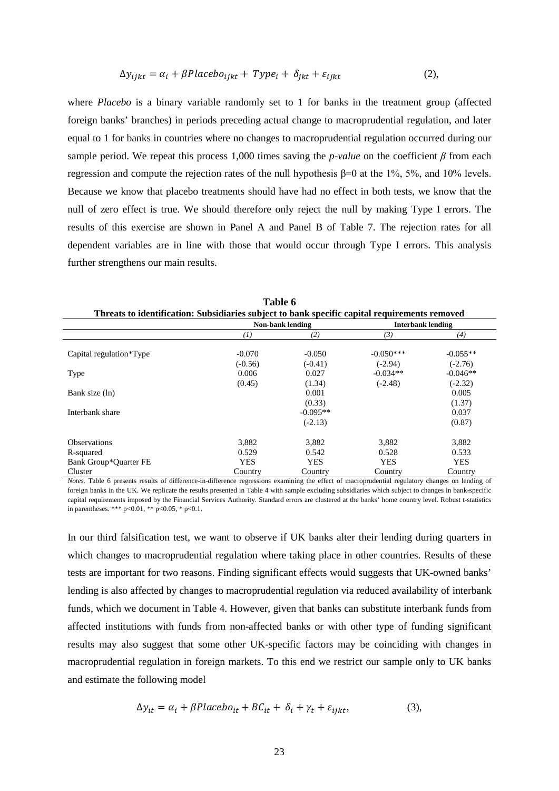$$
\Delta y_{ijkt} = \alpha_i + \beta Placebo_{ijkt} + Type_i + \delta_{jkt} + \varepsilon_{ijkt}
$$
 (2),

where *Placebo* is a binary variable randomly set to 1 for banks in the treatment group (affected foreign banks' branches) in periods preceding actual change to macroprudential regulation, and later equal to 1 for banks in countries where no changes to macroprudential regulation occurred during our sample period. We repeat this process 1,000 times saving the *p-value* on the coefficient  $\beta$  from each regression and compute the rejection rates of the null hypothesis β=0 at the 1%, 5%, and 10% levels. Because we know that placebo treatments should have had no effect in both tests, we know that the null of zero effect is true. We should therefore only reject the null by making Type I errors. The results of this exercise are shown in Panel A and Panel B of Table 7. The rejection rates for all dependent variables are in line with those that would occur through Type I errors. This analysis further strengthens our main results.

| Threats to identification: Subsidiaries subject to bank specific capital requirements removed |            |                         |                          |            |
|-----------------------------------------------------------------------------------------------|------------|-------------------------|--------------------------|------------|
|                                                                                               |            | <b>Non-bank lending</b> | <b>Interbank lending</b> |            |
|                                                                                               | (1)        | (2)                     | (3)                      | (4)        |
| Capital regulation*Type                                                                       | $-0.070$   | $-0.050$                | $-0.050***$              | $-0.055**$ |
|                                                                                               | $(-0.56)$  | $(-0.41)$               | $(-2.94)$                | $(-2.76)$  |
| Type                                                                                          | 0.006      | 0.027                   | $-0.034**$               | $-0.046**$ |
|                                                                                               | (0.45)     | (1.34)                  | $(-2.48)$                | $(-2.32)$  |
| Bank size (ln)                                                                                |            | 0.001                   |                          | 0.005      |
|                                                                                               |            | (0.33)                  |                          | (1.37)     |
| Interbank share                                                                               |            | $-0.095**$              |                          | 0.037      |
|                                                                                               |            | $(-2.13)$               |                          | (0.87)     |
| <b>Observations</b>                                                                           | 3.882      | 3,882                   | 3,882                    | 3,882      |
| R-squared                                                                                     | 0.529      | 0.542                   | 0.528                    | 0.533      |
| Bank Group*Quarter FE                                                                         | <b>YES</b> | <b>YES</b>              | <b>YES</b>               | <b>YES</b> |
| Cluster                                                                                       | Country    | Country                 | Country                  | Country    |

**Table 6**

*Notes.* Table 6 presents results of difference-in-difference regressions examining the effect of macroprudential regulatory changes on lending of foreign banks in the UK. We replicate the results presented in Table 4 with sample excluding subsidiaries which subject to changes in bank-specific capital requirements imposed by the Financial Services Authority. Standard errors are clustered at the banks' home country level. Robust t-statistics in parentheses. \*\*\*  $p < 0.01$ , \*\*  $p < 0.05$ , \*  $p < 0.1$ .

In our third falsification test, we want to observe if UK banks alter their lending during quarters in which changes to macroprudential regulation where taking place in other countries. Results of these tests are important for two reasons. Finding significant effects would suggests that UK-owned banks' lending is also affected by changes to macroprudential regulation via reduced availability of interbank funds, which we document in Table 4. However, given that banks can substitute interbank funds from affected institutions with funds from non-affected banks or with other type of funding significant results may also suggest that some other UK-specific factors may be coinciding with changes in macroprudential regulation in foreign markets. To this end we restrict our sample only to UK banks and estimate the following model

$$
\Delta y_{it} = \alpha_i + \beta Placebo_{it} + BC_{it} + \delta_i + \gamma_t + \varepsilon_{ijkt}, \tag{3}
$$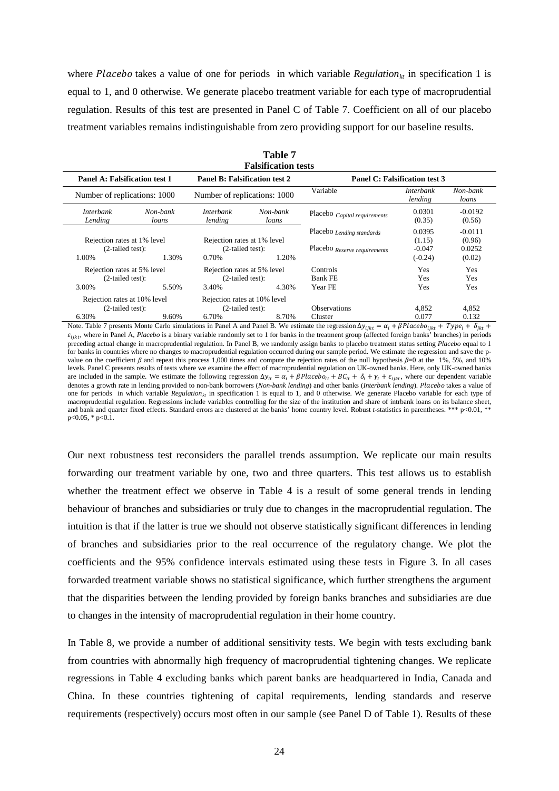where Placebo takes a value of one for periods in which variable *Regulation<sub>ki</sub>* in specification 1 is equal to 1, and 0 otherwise. We generate placebo treatment variable for each type of macroprudential regulation. Results of this test are presented in Panel C of Table 7. Coefficient on all of our placebo treatment variables remains indistinguishable from zero providing support for our baseline results.

|                                                             |                   |                                                                     | <b>Falsification tests</b> |                                                           |                                           |                                         |
|-------------------------------------------------------------|-------------------|---------------------------------------------------------------------|----------------------------|-----------------------------------------------------------|-------------------------------------------|-----------------------------------------|
| Panel A: Falsification test 1                               |                   | <b>Panel B: Falsification test 2</b>                                |                            |                                                           | Panel C: Falsification test 3             |                                         |
| Number of replications: 1000                                |                   | Number of replications: 1000                                        |                            | Variable                                                  | <b>Interbank</b><br>lending               | Non-bank<br>loans                       |
| <i>Interbank</i><br>Lending                                 | Non-bank<br>loans | <i>Interbank</i><br>lending                                         | Non-bank<br>loans          | Placebo Capital requirements                              | 0.0301<br>(0.35)                          | $-0.0192$<br>(0.56)                     |
| Rejection rates at 1% level<br>$(2-tailed test):$<br>1.00%  | 1.30%             | Rejection rates at 1% level<br>$(2-tailed test):$<br>1.20%<br>0.70% |                            | Placebo Lending standards<br>Placebo Reserve requirements | 0.0395<br>(1.15)<br>$-0.047$<br>$(-0.24)$ | $-0.0111$<br>(0.96)<br>0.0252<br>(0.02) |
| Rejection rates at 5% level<br>$(2-tailed test):$<br>3.00%  | 5.50%             | Rejection rates at 5% level<br>$(2-tailed test):$<br>3.40%          | 4.30%                      | Controls<br><b>Bank FE</b><br>Year FE                     | <b>Yes</b><br>Yes<br>Yes                  | <b>Yes</b><br>Yes<br>Yes                |
| Rejection rates at 10% level<br>$(2-tailed test):$<br>6.30% | 9.60%             | Rejection rates at 10% level<br>$(2-tailed test):$<br>6.70%         | 8.70%                      | Observations<br>Cluster                                   | 4.852<br>0.077                            | 4.852<br>0.132                          |

**Table 7 Falsification tests**

Note. Table 7 presents Monte Carlo simulations in Panel A and Panel B. We estimate the regression  $\Delta y_{iikt} = \alpha_i + \beta Placebo_{iikt} + Type_i + \delta_{ikt}$  $\varepsilon_{i\hat{i}k\hat{i}}$ , where in Panel A, *Placebo* is a binary variable randomly set to 1 for banks in the treatment group (affected foreign banks' branches) in periods preceding actual change in macroprudential regulation. In Panel B, we randomly assign banks to placebo treatment status setting *Placebo* equal to 1 for banks in countries where no changes to macroprudential regulation occurred during our sample period. We estimate the regression and save the pvalue on the coefficient *β* and repeat this process 1,000 times and compute the rejection rates of the null hypothesis *β*=0 at the 1%, 5%, and 10% levels. Panel C presents results of tests where we examine the effect of macroprudential regulation on UK-owned banks. Here, only UK-owned banks are included in the sample. We estimate the following regression  $\Delta y_{it} = \alpha_i + \beta Placebo_{it} + BC_{it} + \delta_i + \gamma_t + \varepsilon_{i,kt}$ , where our dependent variable denotes a growth rate in lending provided to non-bank borrowers (*Non-bank lending*) and other banks (*Interbank lending*). Placebo takes a value of one for periods in which variable *Regulation<sub>kt</sub>* in specification 1 is equal to 1, and 0 otherwise. We generate Placebo variable for each type of macroprudential regulation. Regressions include variables controlling for the size of the institution and share of intrbank loans on its balance sheet, and bank and quarter fixed effects. Standard errors are clustered at the banks' home country level. Robust *t*-statistics in parentheses. \*\*\* p<0.01, \*\* p<0.05, \* p<0.1.

Our next robustness test reconsiders the parallel trends assumption. We replicate our main results forwarding our treatment variable by one, two and three quarters. This test allows us to establish whether the treatment effect we observe in Table 4 is a result of some general trends in lending behaviour of branches and subsidiaries or truly due to changes in the macroprudential regulation. The intuition is that if the latter is true we should not observe statistically significant differences in lending of branches and subsidiaries prior to the real occurrence of the regulatory change. We plot the coefficients and the 95% confidence intervals estimated using these tests in Figure 3. In all cases forwarded treatment variable shows no statistical significance, which further strengthens the argument that the disparities between the lending provided by foreign banks branches and subsidiaries are due to changes in the intensity of macroprudential regulation in their home country.

In Table 8, we provide a number of additional sensitivity tests. We begin with tests excluding bank from countries with abnormally high frequency of macroprudential tightening changes. We replicate regressions in Table 4 excluding banks which parent banks are headquartered in India, Canada and China. In these countries tightening of capital requirements, lending standards and reserve requirements (respectively) occurs most often in our sample (see Panel D of Table 1). Results of these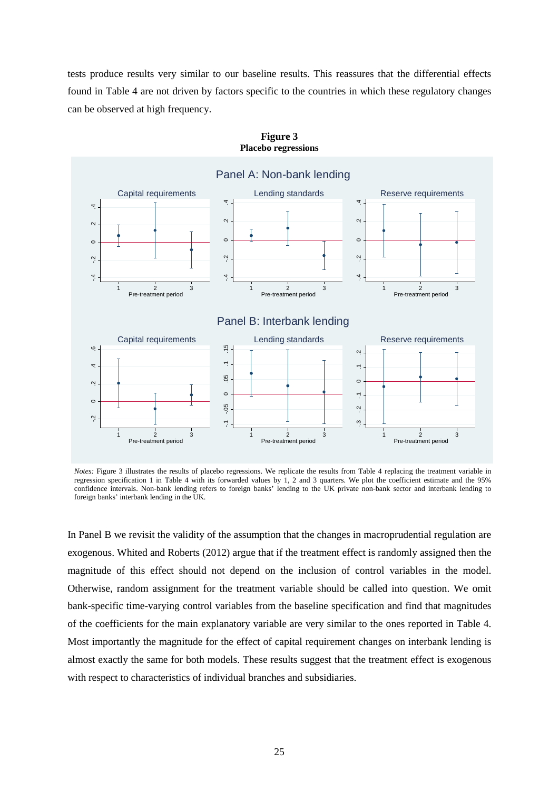tests produce results very similar to our baseline results. This reassures that the differential effects found in Table 4 are not driven by factors specific to the countries in which these regulatory changes can be observed at high frequency.



**Figure 3 Placebo regressions**

In Panel B we revisit the validity of the assumption that the changes in macroprudential regulation are exogenous. Whited and Roberts (2012) argue that if the treatment effect is randomly assigned then the magnitude of this effect should not depend on the inclusion of control variables in the model. Otherwise, random assignment for the treatment variable should be called into question. We omit bank-specific time-varying control variables from the baseline specification and find that magnitudes of the coefficients for the main explanatory variable are very similar to the ones reported in Table 4. Most importantly the magnitude for the effect of capital requirement changes on interbank lending is almost exactly the same for both models. These results suggest that the treatment effect is exogenous

*Notes:* Figure 3 illustrates the results of placebo regressions. We replicate the results from Table 4 replacing the treatment variable in regression specification 1 in Table 4 with its forwarded values by 1, 2 and 3 quarters. We plot the coefficient estimate and the 95% confidence intervals. Non-bank lending refers to foreign banks' lending to the UK private non-bank sector and interbank lending to foreign banks' interbank lending in the UK.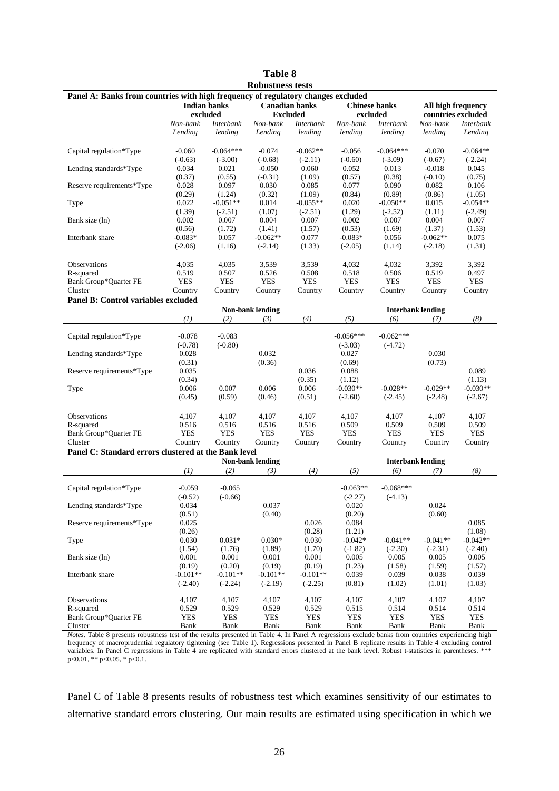|                                                                                                                                                  |                     |                  | <b>Table 8</b>          |                       |                      |                  |                          |                    |
|--------------------------------------------------------------------------------------------------------------------------------------------------|---------------------|------------------|-------------------------|-----------------------|----------------------|------------------|--------------------------|--------------------|
|                                                                                                                                                  |                     |                  | <b>Robustness tests</b> |                       |                      |                  |                          |                    |
| Panel A: Banks from countries with high frequency of regulatory changes excluded                                                                 |                     |                  |                         |                       |                      |                  |                          |                    |
|                                                                                                                                                  | <b>Indian banks</b> |                  |                         | <b>Canadian banks</b> | <b>Chinese banks</b> |                  | All high frequency       |                    |
|                                                                                                                                                  |                     | excluded         |                         | <b>Excluded</b>       | excluded             |                  |                          | countries excluded |
|                                                                                                                                                  | Non-bank            | <b>Interbank</b> | Non-bank                | <b>Interbank</b>      | Non-bank             | <b>Interbank</b> | Non-bank                 | <b>Interbank</b>   |
|                                                                                                                                                  | Lending             | lending          | Lending                 | lending               | lending              | lending          | lending                  | Lending            |
|                                                                                                                                                  |                     |                  |                         |                       |                      |                  |                          |                    |
| Capital regulation*Type                                                                                                                          | $-0.060$            | $-0.064***$      | $-0.074$                | $-0.062**$            | $-0.056$             | $-0.064***$      | $-0.070$                 | $-0.064**$         |
|                                                                                                                                                  | $(-0.63)$           | $(-3.00)$        | $(-0.68)$               | $(-2.11)$             | $(-0.60)$            | $(-3.09)$        | $(-0.67)$                | $(-2.24)$          |
| Lending standards*Type                                                                                                                           | 0.034               | 0.021            | $-0.050$                | 0.060                 | 0.052                | 0.013            | $-0.018$                 | 0.045              |
|                                                                                                                                                  | (0.37)              | (0.55)           | $(-0.31)$               | (1.09)                | (0.57)               | (0.38)           | $(-0.10)$                | (0.75)             |
| Reserve requirements*Type                                                                                                                        | 0.028               | 0.097            | 0.030                   | 0.085                 | 0.077                | 0.090            | 0.082                    | 0.106              |
|                                                                                                                                                  | (0.29)              | (1.24)           | (0.32)                  | (1.09)                | (0.84)               | (0.89)           | (0.86)                   | (1.05)             |
| Type                                                                                                                                             | 0.022               | $-0.051**$       | 0.014                   | $-0.055**$            | 0.020                | $-0.050**$       | 0.015                    | $-0.054**$         |
|                                                                                                                                                  | (1.39)              | $(-2.51)$        | (1.07)                  | $(-2.51)$             | (1.29)               | $(-2.52)$        | (1.11)                   | $(-2.49)$          |
| Bank size (ln)                                                                                                                                   | 0.002               | 0.007            | 0.004                   | 0.007                 | 0.002                | 0.007            | 0.004                    | 0.007              |
|                                                                                                                                                  | (0.56)              | (1.72)           | (1.41)                  | (1.57)                | (0.53)               | (1.69)           | (1.37)                   | (1.53)             |
| Interbank share                                                                                                                                  | $-0.083*$           | 0.057            | $-0.062**$              | 0.077                 | $-0.083*$            | 0.056            | $-0.062**$               | 0.075              |
|                                                                                                                                                  | $(-2.06)$           | (1.16)           | $(-2.14)$               | (1.33)                | $(-2.05)$            | (1.14)           | $(-2.18)$                | (1.31)             |
|                                                                                                                                                  |                     |                  |                         |                       |                      |                  |                          |                    |
| <b>Observations</b>                                                                                                                              | 4,035               | 4,035            | 3,539                   | 3,539                 | 4,032                | 4,032            | 3,392                    | 3,392              |
| R-squared                                                                                                                                        | 0.519               | 0.507            | 0.526                   | 0.508                 | 0.518                | 0.506            | 0.519                    | 0.497              |
| Bank Group*Quarter FE                                                                                                                            | <b>YES</b>          | <b>YES</b>       | <b>YES</b>              | <b>YES</b>            | <b>YES</b>           | <b>YES</b>       | <b>YES</b>               | <b>YES</b>         |
| Cluster                                                                                                                                          | Country             | Country          | Country                 | Country               | Country              | Country          | Country                  | Country            |
| Panel B: Control variables excluded                                                                                                              |                     |                  |                         |                       |                      |                  |                          |                    |
|                                                                                                                                                  |                     |                  | Non-bank lending        |                       |                      |                  | <b>Interbank lending</b> |                    |
|                                                                                                                                                  | (1)                 | (2)              | (3)                     | (4)                   | (5)                  | (6)              | (7)                      | (8)                |
|                                                                                                                                                  |                     |                  |                         |                       |                      |                  |                          |                    |
| Capital regulation*Type                                                                                                                          | $-0.078$            | $-0.083$         |                         |                       | $-0.056***$          | $-0.062***$      |                          |                    |
|                                                                                                                                                  | $(-0.78)$           | $(-0.80)$        |                         |                       | $(-3.03)$            | $(-4.72)$        |                          |                    |
| Lending standards*Type                                                                                                                           | 0.028               |                  | 0.032                   |                       | 0.027                |                  | 0.030                    |                    |
|                                                                                                                                                  | (0.31)              |                  | (0.36)                  |                       | (0.69)               |                  | (0.73)                   |                    |
| Reserve requirements*Type                                                                                                                        | 0.035               |                  |                         | 0.036                 | 0.088                |                  |                          | 0.089              |
|                                                                                                                                                  | (0.34)              |                  |                         | (0.35)                | (1.12)               |                  |                          | (1.13)             |
| Type                                                                                                                                             | 0.006               | 0.007            | 0.006                   | 0.006                 | $-0.030**$           | $-0.028**$       | $-0.029**$               | $-0.030**$         |
|                                                                                                                                                  | (0.45)              | (0.59)           | (0.46)                  | (0.51)                | $(-2.60)$            | $(-2.45)$        | $(-2.48)$                | $(-2.67)$          |
|                                                                                                                                                  |                     |                  |                         |                       |                      |                  |                          |                    |
| <b>Observations</b>                                                                                                                              | 4,107               | 4,107            | 4,107                   | 4,107                 | 4,107                | 4,107            | 4,107                    | 4,107              |
| R-squared                                                                                                                                        | 0.516               | 0.516            | 0.516                   | 0.516                 | 0.509                | 0.509            | 0.509                    | 0.509              |
| Bank Group*Quarter FE                                                                                                                            | <b>YES</b>          | <b>YES</b>       | <b>YES</b>              | <b>YES</b>            | <b>YES</b>           | <b>YES</b>       | <b>YES</b>               | <b>YES</b>         |
| Cluster                                                                                                                                          | Country             | Country          | Country                 | Country               | Country              | Country          | Country                  | Country            |
| Panel C: Standard errors clustered at the Bank level                                                                                             |                     |                  |                         |                       |                      |                  |                          |                    |
|                                                                                                                                                  |                     |                  | Non-bank lending        |                       |                      |                  | <b>Interbank lending</b> |                    |
|                                                                                                                                                  | (1)                 | (2)              | (3)                     | (4)                   | (5)                  | (6)              | (7)                      | (8)                |
|                                                                                                                                                  |                     |                  |                         |                       |                      |                  |                          |                    |
| Capital regulation*Type                                                                                                                          | $-0.059$            | $-0.065$         |                         |                       | $-0.063**$           | $-0.068***$      |                          |                    |
|                                                                                                                                                  | $(-0.52)$           | $(-0.66)$        |                         |                       | $(-2.27)$            | $(-4.13)$        |                          |                    |
| Lending standards*Type                                                                                                                           | 0.034               |                  | 0.037                   |                       | 0.020                |                  | 0.024                    |                    |
|                                                                                                                                                  | (0.51)              |                  | (0.40)                  |                       | (0.20)               |                  | (0.60)                   |                    |
| Reserve requirements*Type                                                                                                                        | 0.025               |                  |                         | 0.026                 | 0.084                |                  |                          | 0.085              |
|                                                                                                                                                  | (0.26)              |                  |                         | (0.28)                | (1.21)               |                  |                          | (1.08)             |
| Type                                                                                                                                             | 0.030               | $0.031*$         | $0.030*$                | 0.030                 | $-0.042*$            | $-0.041**$       | $-0.041**$               | $-0.042**$         |
|                                                                                                                                                  | (1.54)              | (1.76)           | (1.89)                  | (1.70)                | $(-1.82)$            | $(-2.30)$        | $(-2.31)$                | $(-2.40)$          |
| Bank size (ln)                                                                                                                                   | 0.001               | 0.001            | 0.001                   | 0.001                 | 0.005                | 0.005            | 0.005                    | 0.005              |
|                                                                                                                                                  | (0.19)              | (0.20)           | (0.19)                  | (0.19)                | (1.23)               | (1.58)           | (1.59)                   | (1.57)             |
| Interbank share                                                                                                                                  | $-0.101**$          | $-0.101**$       | $-0.101**$              | $-0.101**$            | 0.039                | 0.039            | 0.038                    | 0.039              |
|                                                                                                                                                  | $(-2.40)$           | $(-2.24)$        | $(-2.19)$               | $(-2.25)$             | (0.81)               | (1.02)           | (1.01)                   | (1.03)             |
|                                                                                                                                                  |                     |                  |                         |                       |                      |                  |                          |                    |
| Observations                                                                                                                                     | 4,107               | 4,107            | 4,107                   | 4,107                 | 4,107                | 4,107            | 4,107                    | 4,107              |
| R-squared                                                                                                                                        | 0.529               | 0.529            | 0.529                   | 0.529                 | 0.515                | 0.514            | 0.514                    | 0.514              |
| Bank Group*Quarter FE<br>Cluster                                                                                                                 | YES<br>Bank         | YES<br>Bank      | YES<br>Bank             | YES<br>Bank           | YES<br>Bank          | YES<br>Bank      | YES<br>Bank              | YES<br>Bank        |
| Notes Table 8 presents repurings test of the results presented in Table 4. In Panel A regressions exclude banks from countries experiencing high |                     |                  |                         |                       |                      |                  |                          |                    |

*Notes.* Table 8 presents robustness test of the results presented in Table 4. In Panel A regressions exclude banks from countries experiencing high frequency of macroprudential regulatory tightening (see Table 1). Regressions presented in Panel B replicate results in Table 4 excluding control variables. In Panel C regressions in Table 4 are replicated with standard errors clustered at the bank level. Robust t-statistics in parentheses. \*\*\* p<0.01, \*\* p<0.05, \* p<0.1.

Panel C of Table 8 presents results of robustness test which examines sensitivity of our estimates to alternative standard errors clustering. Our main results are estimated using specification in which we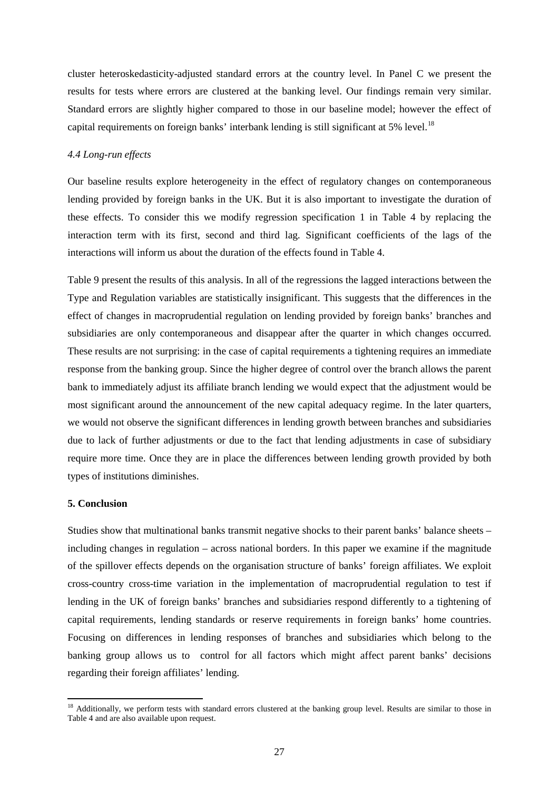cluster heteroskedasticity-adjusted standard errors at the country level. In Panel C we present the results for tests where errors are clustered at the banking level. Our findings remain very similar. Standard errors are slightly higher compared to those in our baseline model; however the effect of capital requirements on foreign banks' interbank lending is still significant at 5% level.<sup>[18](#page-26-0)</sup>

#### *4.4 Long-run effects*

Our baseline results explore heterogeneity in the effect of regulatory changes on contemporaneous lending provided by foreign banks in the UK. But it is also important to investigate the duration of these effects. To consider this we modify regression specification 1 in Table 4 by replacing the interaction term with its first, second and third lag. Significant coefficients of the lags of the interactions will inform us about the duration of the effects found in Table 4.

Table 9 present the results of this analysis. In all of the regressions the lagged interactions between the Type and Regulation variables are statistically insignificant. This suggests that the differences in the effect of changes in macroprudential regulation on lending provided by foreign banks' branches and subsidiaries are only contemporaneous and disappear after the quarter in which changes occurred. These results are not surprising: in the case of capital requirements a tightening requires an immediate response from the banking group. Since the higher degree of control over the branch allows the parent bank to immediately adjust its affiliate branch lending we would expect that the adjustment would be most significant around the announcement of the new capital adequacy regime. In the later quarters, we would not observe the significant differences in lending growth between branches and subsidiaries due to lack of further adjustments or due to the fact that lending adjustments in case of subsidiary require more time. Once they are in place the differences between lending growth provided by both types of institutions diminishes.

#### **5. Conclusion**

 $\overline{a}$ 

Studies show that multinational banks transmit negative shocks to their parent banks' balance sheets – including changes in regulation – across national borders. In this paper we examine if the magnitude of the spillover effects depends on the organisation structure of banks' foreign affiliates. We exploit cross-country cross-time variation in the implementation of macroprudential regulation to test if lending in the UK of foreign banks' branches and subsidiaries respond differently to a tightening of capital requirements, lending standards or reserve requirements in foreign banks' home countries. Focusing on differences in lending responses of branches and subsidiaries which belong to the banking group allows us to control for all factors which might affect parent banks' decisions regarding their foreign affiliates' lending.

<span id="page-26-0"></span><sup>&</sup>lt;sup>18</sup> Additionally, we perform tests with standard errors clustered at the banking group level. Results are similar to those in Table 4 and are also available upon request.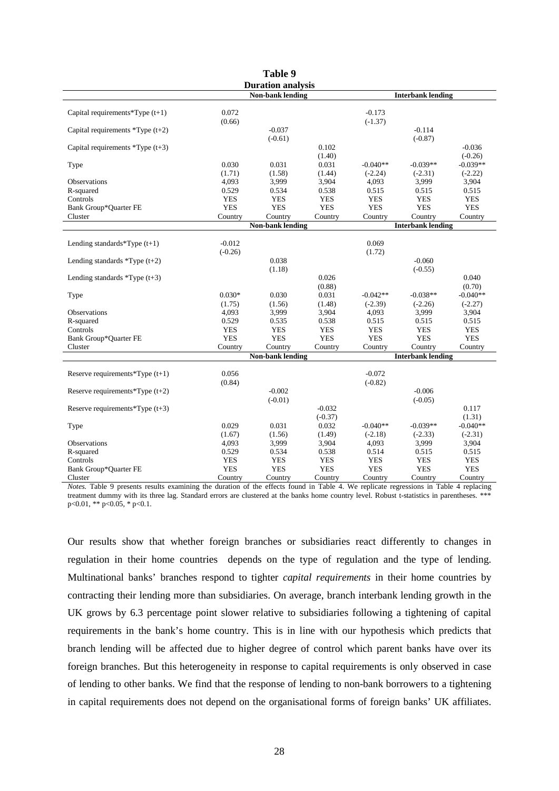|                                   |            | Table 9                  |                    |            |                          |                      |
|-----------------------------------|------------|--------------------------|--------------------|------------|--------------------------|----------------------|
|                                   |            | <b>Duration analysis</b> |                    |            |                          |                      |
|                                   |            | <b>Non-bank lending</b>  |                    |            | <b>Interbank lending</b> |                      |
| Capital requirements $*Type(t+1)$ | 0.072      |                          |                    | $-0.173$   |                          |                      |
|                                   | (0.66)     |                          |                    | $(-1.37)$  |                          |                      |
| Capital requirements $*Type(t+2)$ |            | $-0.037$                 |                    |            | $-0.114$                 |                      |
|                                   |            | $(-0.61)$                |                    |            | $(-0.87)$                |                      |
| Capital requirements $*Type(t+3)$ |            |                          | 0.102              |            |                          | $-0.036$             |
|                                   |            |                          | (1.40)             |            |                          | $(-0.26)$            |
| Type                              | 0.030      | 0.031                    | 0.031              | $-0.040**$ | $-0.039**$               | $-0.039**$           |
|                                   | (1.71)     | (1.58)                   | (1.44)             | $(-2.24)$  | $(-2.31)$                | $(-2.22)$            |
| Observations                      | 4,093      | 3,999                    | 3,904              | 4.093      | 3,999                    | 3,904                |
| R-squared                         | 0.529      | 0.534                    | 0.538              | 0.515      | 0.515                    | 0.515                |
| Controls                          | <b>YES</b> | <b>YES</b>               | <b>YES</b>         | <b>YES</b> | <b>YES</b>               | <b>YES</b>           |
| Bank Group*Quarter FE             | <b>YES</b> | <b>YES</b>               | <b>YES</b>         | <b>YES</b> | <b>YES</b>               | <b>YES</b>           |
| Cluster                           | Country    | Country                  | Country            | Country    | Country                  | Country              |
|                                   |            | Non-bank lending         |                    |            | <b>Interbank lending</b> |                      |
| Lending standards *Type $(t+1)$   | $-0.012$   |                          |                    | 0.069      |                          |                      |
|                                   | $(-0.26)$  |                          |                    | (1.72)     |                          |                      |
|                                   |            | 0.038                    |                    |            | $-0.060$                 |                      |
| Lending standards $*Type(t+2)$    |            |                          |                    |            |                          |                      |
|                                   |            | (1.18)                   | 0.026              |            | $(-0.55)$                | 0.040                |
| Lending standards $*Type(t+3)$    |            |                          |                    |            |                          |                      |
|                                   | $0.030*$   |                          | (0.88)             | $-0.042**$ |                          | (0.70)               |
| Type                              |            | 0.030                    | 0.031              |            | $-0.038**$               | $-0.040**$           |
| Observations                      | (1.75)     | (1.56)                   | (1.48)             | $(-2.39)$  | $(-2.26)$                | $(-2.27)$            |
|                                   | 4,093      | 3,999                    | 3,904              | 4,093      | 3,999                    | 3,904                |
| R-squared                         | 0.529      | 0.535                    | 0.538              | 0.515      | 0.515                    | 0.515                |
| Controls                          | <b>YES</b> | <b>YES</b>               | <b>YES</b>         | <b>YES</b> | <b>YES</b>               | <b>YES</b>           |
| Bank Group*Quarter FE             | <b>YES</b> | <b>YES</b>               | <b>YES</b>         | <b>YES</b> | <b>YES</b>               | <b>YES</b>           |
| Cluster                           | Country    | Country                  | Country            | Country    | Country                  | Country              |
|                                   |            | Non-bank lending         |                    |            | <b>Interbank lending</b> |                      |
|                                   | 0.056      |                          |                    | $-0.072$   |                          |                      |
| Reserve requirements $*Type(t+1)$ |            |                          |                    |            |                          |                      |
|                                   | (0.84)     | $-0.002$                 |                    | $(-0.82)$  | $-0.006$                 |                      |
| Reserve requirements $*Type(t+2)$ |            | $(-0.01)$                |                    |            | $(-0.05)$                |                      |
| Reserve requirements $*Type(t+3)$ |            |                          | $-0.032$           |            |                          | 0.117                |
|                                   |            |                          |                    |            |                          |                      |
|                                   | 0.029      | 0.031                    | $(-0.37)$<br>0.032 | $-0.040**$ | $-0.039**$               | (1.31)<br>$-0.040**$ |
| Type                              |            |                          |                    |            |                          |                      |
|                                   | (1.67)     | (1.56)                   | (1.49)             | $(-2.18)$  | $(-2.33)$                | $(-2.31)$            |
| Observations                      | 4,093      | 3,999                    | 3,904              | 4,093      | 3,999                    | 3,904                |
| R-squared                         | 0.529      | 0.534                    | 0.538              | 0.514      | 0.515                    | 0.515                |
| Controls                          | <b>YES</b> | <b>YES</b>               | <b>YES</b>         | <b>YES</b> | <b>YES</b>               | <b>YES</b>           |
| Bank Group*Quarter FE             | <b>YES</b> | <b>YES</b>               | <b>YES</b>         | <b>YES</b> | <b>YES</b>               | <b>YES</b>           |
| Cluster                           | Country    | Country                  | Country            | Country    | Country                  | Country              |

*Notes.* Table 9 presents results examining the duration of the effects found in Table 4. We replicate regressions in Table 4 replacing treatment dummy with its three lag. Standard errors are clustered at the banks home country level. Robust t-statistics in parentheses. \*\* p<0.01, \*\* p<0.05, \* p<0.1.

Our results show that whether foreign branches or subsidiaries react differently to changes in regulation in their home countries depends on the type of regulation and the type of lending. Multinational banks' branches respond to tighter *capital requirements* in their home countries by contracting their lending more than subsidiaries. On average, branch interbank lending growth in the UK grows by 6.3 percentage point slower relative to subsidiaries following a tightening of capital requirements in the bank's home country. This is in line with our hypothesis which predicts that branch lending will be affected due to higher degree of control which parent banks have over its foreign branches. But this heterogeneity in response to capital requirements is only observed in case of lending to other banks. We find that the response of lending to non-bank borrowers to a tightening in capital requirements does not depend on the organisational forms of foreign banks' UK affiliates.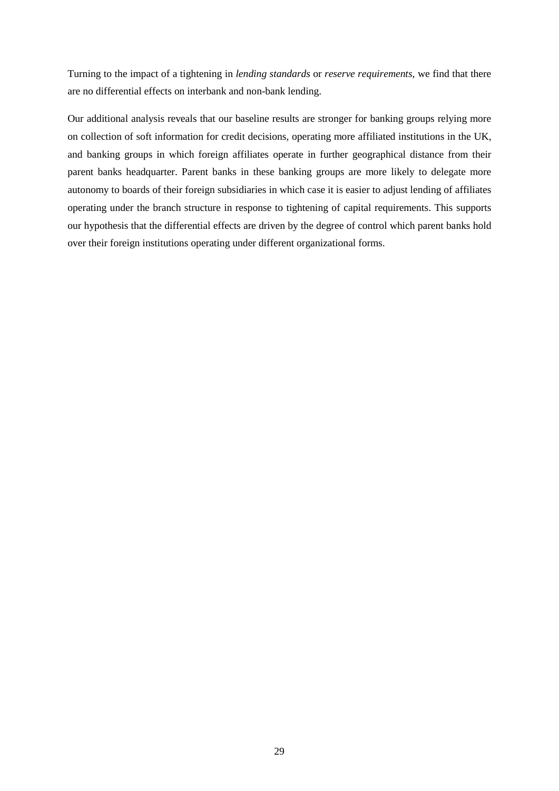Turning to the impact of a tightening in *lending standards* or *reserve requirements*, we find that there are no differential effects on interbank and non-bank lending.

Our additional analysis reveals that our baseline results are stronger for banking groups relying more on collection of soft information for credit decisions, operating more affiliated institutions in the UK, and banking groups in which foreign affiliates operate in further geographical distance from their parent banks headquarter. Parent banks in these banking groups are more likely to delegate more autonomy to boards of their foreign subsidiaries in which case it is easier to adjust lending of affiliates operating under the branch structure in response to tightening of capital requirements. This supports our hypothesis that the differential effects are driven by the degree of control which parent banks hold over their foreign institutions operating under different organizational forms.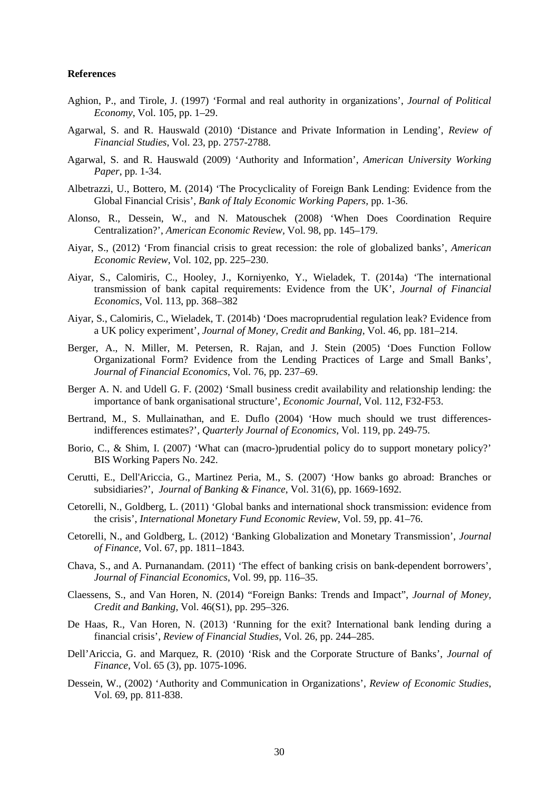#### **References**

- Aghion, P., and Tirole, J. (1997) 'Formal and real authority in organizations', *Journal of Political Economy*, Vol. 105, pp. 1–29.
- Agarwal, S. and R. Hauswald (2010) 'Distance and Private Information in Lending', *Review of Financial Studies*, Vol. 23, pp. 2757-2788.
- Agarwal, S. and R. Hauswald (2009) 'Authority and Information', *American University Working Paper*, pp. 1-34.
- Albetrazzi, U., Bottero, M. (2014) 'The Procyclicality of Foreign Bank Lending: Evidence from the Global Financial Crisis', *Bank of Italy Economic Working Papers,* pp. 1-36.
- Alonso, R., Dessein, W., and N. Matouschek (2008) 'When Does Coordination Require Centralization?', *American Economic Review,* Vol. 98, pp. 145–179.
- Aiyar, S., (2012) 'From financial crisis to great recession: the role of globalized banks', *American Economic Review*, Vol. 102, pp. 225–230.
- Aiyar, S., Calomiris, C., Hooley, J., Korniyenko, Y., Wieladek, T. (2014a) 'The international transmission of bank capital requirements: Evidence from the UK', *Journal of Financial Economics*, Vol. 113, pp. 368–382
- Aiyar, S., Calomiris, C., Wieladek, T. (2014b) 'Does macroprudential regulation leak? Evidence from a UK policy experiment', *Journal of Money, Credit and Banking*, Vol. 46, pp. 181–214.
- Berger, A., N. Miller, M. Petersen, R. Rajan, and J. Stein (2005) 'Does Function Follow Organizational Form? Evidence from the Lending Practices of Large and Small Banks', *Journal of Financial Economics*, Vol. 76, pp. 237–69.
- Berger A. N. and Udell G. F. (2002) 'Small business credit availability and relationship lending: the importance of bank organisational structure', *Economic Journal*, Vol. 112, F32-F53.
- Bertrand, M., S. Mullainathan, and E. Duflo (2004) 'How much should we trust differencesindifferences estimates?', *Quarterly Journal of Economics*, Vol. 119, pp. 249-75.
- Borio, C., & Shim, I. (2007) 'What can (macro-)prudential policy do to support monetary policy?' BIS Working Papers No. 242.
- Cerutti, E., Dell'Ariccia, G., Martinez Peria, M., S. (2007) 'How banks go abroad: Branches or subsidiaries?', *Journal of Banking & Finance*, Vol. 31(6), pp. 1669-1692.
- Cetorelli, N., Goldberg, L. (2011) 'Global banks and international shock transmission: evidence from the crisis', *International Monetary Fund Economic Review*, Vol. 59, pp. 41–76.
- Cetorelli, N., and Goldberg, L. (2012) 'Banking Globalization and Monetary Transmission', *Journal of Finance*, Vol. 67, pp. 1811–1843.
- Chava, S., and A. Purnanandam. (2011) 'The effect of banking crisis on bank-dependent borrowers', *Journal of Financial Economics*, Vol. 99, pp. 116–35.
- Claessens, S., and Van Horen, N. (2014) "Foreign Banks: Trends and Impact", *Journal of Money, Credit and Banking*, Vol. 46(S1), pp. 295–326.
- De Haas, R., Van Horen, N. (2013) 'Running for the exit? International bank lending during a financial crisis', *Review of Financial Studies*, Vol. 26, pp. 244–285.
- Dell'Ariccia, G. and Marquez, R. (2010) 'Risk and the Corporate Structure of Banks', *Journal of Finance*, Vol. 65 (3), pp. 1075-1096.
- Dessein, W., (2002) 'Authority and Communication in Organizations', *Review of Economic Studies*, Vol. 69, pp. 811-838.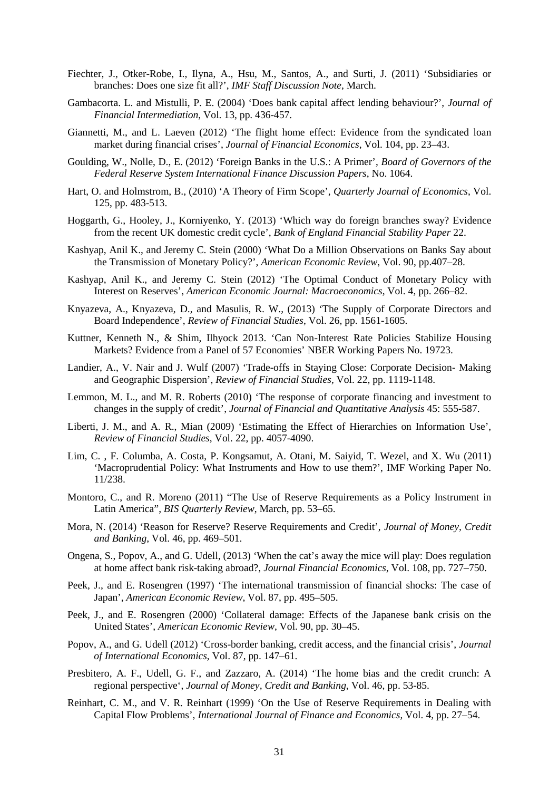- Fiechter, J., Otker-Robe, I., Ilyna, A., Hsu, M., Santos, A., and Surti, J. (2011) 'Subsidiaries or branches: Does one size fit all?', *IMF Staff Discussion Note*, March.
- Gambacorta. L. and Mistulli, P. E. (2004) 'Does bank capital affect lending behaviour?', *Journal of Financial Intermediation*, Vol. 13, pp. 436-457.
- Giannetti, M., and L. Laeven (2012) 'The flight home effect: Evidence from the syndicated loan market during financial crises', *Journal of Financial Economics*, Vol. 104, pp. 23–43.
- Goulding, W., Nolle, D., E. (2012) 'Foreign Banks in the U.S.: A Primer', *Board of Governors of the Federal Reserve System International Finance Discussion Papers*, No. 1064.
- Hart, O. and Holmstrom, B., (2010) 'A Theory of Firm Scope', *Quarterly Journal of Economics*, Vol. 125, pp. 483-513.
- Hoggarth, G., Hooley, J., Korniyenko, Y. (2013) 'Which way do foreign branches sway? Evidence from the recent UK domestic credit cycle', *Bank of England Financial Stability Paper* 22.
- Kashyap, Anil K., and Jeremy C. Stein (2000) 'What Do a Million Observations on Banks Say about the Transmission of Monetary Policy?', *American Economic Review*, Vol. 90, pp.407–28.
- Kashyap, Anil K., and Jeremy C. Stein (2012) 'The Optimal Conduct of Monetary Policy with Interest on Reserves', *American Economic Journal: Macroeconomics*, Vol. 4, pp. 266–82.
- Knyazeva, A., Knyazeva, D., and Masulis, R. W., (2013) 'The Supply of Corporate Directors and Board Independence', *Review of Financial Studies*, Vol. 26, pp. 1561-1605.
- Kuttner, Kenneth N., & Shim, Ilhyock 2013. 'Can Non-Interest Rate Policies Stabilize Housing Markets? Evidence from a Panel of 57 Economies' NBER Working Papers No. 19723.
- Landier, A., V. Nair and J. Wulf (2007) 'Trade-offs in Staying Close: Corporate Decision- Making and Geographic Dispersion', *Review of Financial Studies,* Vol. 22, pp. 1119-1148.
- Lemmon, M. L., and M. R. Roberts (2010) 'The response of corporate financing and investment to changes in the supply of credit', *Journal of Financial and Quantitative Analysis* 45: 555-587.
- Liberti, J. M., and A. R., Mian (2009) 'Estimating the Effect of Hierarchies on Information Use', *Review of Financial Studies*, Vol. 22, pp. 4057-4090.
- Lim, C. , F. Columba, A. Costa, P. Kongsamut, A. Otani, M. Saiyid, T. Wezel, and X. Wu (2011) 'Macroprudential Policy: What Instruments and How to use them?', IMF Working Paper No. 11/238.
- Montoro, C., and R. Moreno (2011) "The Use of Reserve Requirements as a Policy Instrument in Latin America", *BIS Quarterly Review*, March, pp. 53–65.
- Mora, N. (2014) 'Reason for Reserve? Reserve Requirements and Credit', *Journal of Money, Credit and Banking*, Vol. 46, pp. 469–501.
- Ongena, S., Popov, A., and G. Udell, (2013) 'When the cat's away the mice will play: Does regulation at home affect bank risk-taking abroad?, *Journal Financial Economics*, Vol. 108, pp. 727–750.
- Peek, J., and E. Rosengren (1997) 'The international transmission of financial shocks: The case of Japan', *American Economic Review*, Vol. 87, pp. 495–505.
- Peek, J., and E. Rosengren (2000) 'Collateral damage: Effects of the Japanese bank crisis on the United States', *American Economic Review*, Vol. 90, pp. 30–45.
- Popov, A., and G. Udell (2012) 'Cross-border banking, credit access, and the financial crisis', *Journal of International Economics*, Vol. 87, pp. 147–61.
- Presbitero, A. F., Udell, G. F., and Zazzaro, A. (2014) 'The home bias and the credit crunch: A regional perspective', *Journal of Money, Credit and Banking*, Vol. 46, pp. 53-85.
- Reinhart, C. M., and V. R. Reinhart (1999) 'On the Use of Reserve Requirements in Dealing with Capital Flow Problems', *International Journal of Finance and Economics*, Vol. 4, pp. 27–54.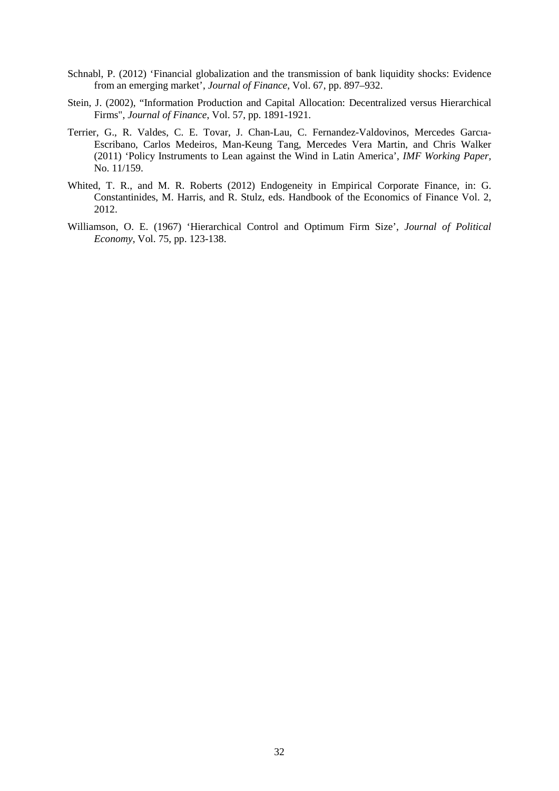- Schnabl, P. (2012) 'Financial globalization and the transmission of bank liquidity shocks: Evidence from an emerging market', *Journal of Finance*, Vol. 67, pp. 897–932.
- Stein, J. (2002), "Information Production and Capital Allocation: Decentralized versus Hierarchical Firms", *Journal of Finance*, Vol. 57, pp. 1891-1921.
- Terrier, G., R. Valdes, C. E. Tovar, J. Chan-Lau, C. Fernandez-Valdovinos, Mercedes Garcıa-Escribano, Carlos Medeiros, Man-Keung Tang, Mercedes Vera Martin, and Chris Walker (2011) 'Policy Instruments to Lean against the Wind in Latin America', *IMF Working Paper,* No. 11/159.
- Whited, T. R., and M. R. Roberts (2012) Endogeneity in Empirical Corporate Finance, in: G. Constantinides, M. Harris, and R. Stulz, eds. Handbook of the Economics of Finance Vol. 2, 2012.
- Williamson, O. E. (1967) 'Hierarchical Control and Optimum Firm Size', *Journal of Political Economy*, Vol. 75, pp. 123-138.